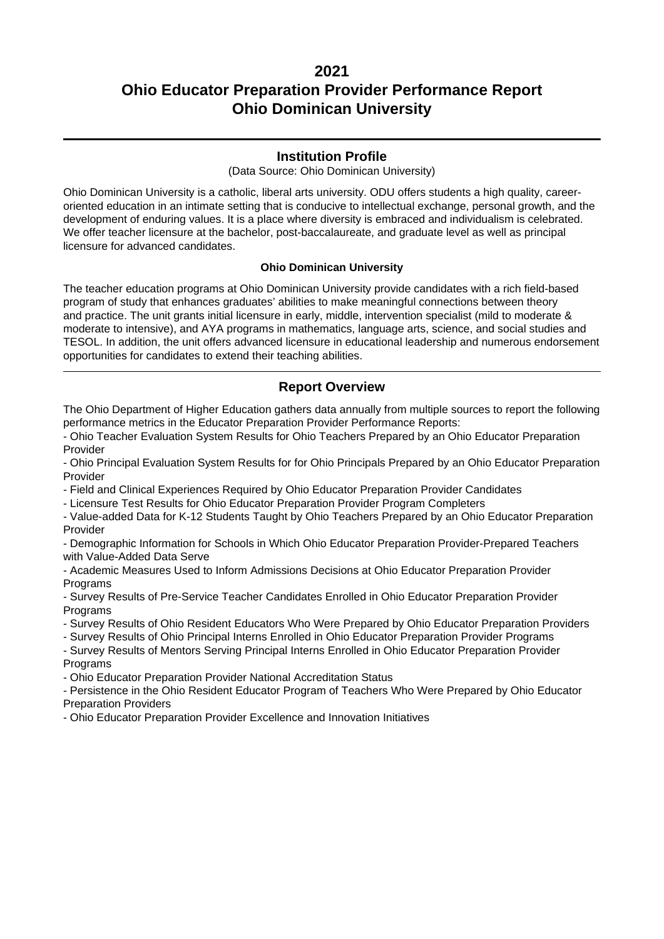### **Institution Profile**

(Data Source: Ohio Dominican University)

Ohio Dominican University is a catholic, liberal arts university. ODU offers students a high quality, careeroriented education in an intimate setting that is conducive to intellectual exchange, personal growth, and the development of enduring values. It is a place where diversity is embraced and individualism is celebrated. We offer teacher licensure at the bachelor, post-baccalaureate, and graduate level as well as principal licensure for advanced candidates.

#### **Ohio Dominican University**

The teacher education programs at Ohio Dominican University provide candidates with a rich field-based program of study that enhances graduates' abilities to make meaningful connections between theory and practice. The unit grants initial licensure in early, middle, intervention specialist (mild to moderate & moderate to intensive), and AYA programs in mathematics, language arts, science, and social studies and TESOL. In addition, the unit offers advanced licensure in educational leadership and numerous endorsement opportunities for candidates to extend their teaching abilities.

### **Report Overview**

The Ohio Department of Higher Education gathers data annually from multiple sources to report the following performance metrics in the Educator Preparation Provider Performance Reports:

- Ohio Teacher Evaluation System Results for Ohio Teachers Prepared by an Ohio Educator Preparation Provider

- Ohio Principal Evaluation System Results for for Ohio Principals Prepared by an Ohio Educator Preparation Provider

- Field and Clinical Experiences Required by Ohio Educator Preparation Provider Candidates

- Licensure Test Results for Ohio Educator Preparation Provider Program Completers

- Value-added Data for K-12 Students Taught by Ohio Teachers Prepared by an Ohio Educator Preparation Provider

- Demographic Information for Schools in Which Ohio Educator Preparation Provider-Prepared Teachers with Value-Added Data Serve

- Academic Measures Used to Inform Admissions Decisions at Ohio Educator Preparation Provider **Programs** 

- Survey Results of Pre-Service Teacher Candidates Enrolled in Ohio Educator Preparation Provider **Programs** 

- Survey Results of Ohio Resident Educators Who Were Prepared by Ohio Educator Preparation Providers

- Survey Results of Ohio Principal Interns Enrolled in Ohio Educator Preparation Provider Programs

- Survey Results of Mentors Serving Principal Interns Enrolled in Ohio Educator Preparation Provider **Programs** 

- Ohio Educator Preparation Provider National Accreditation Status

- Persistence in the Ohio Resident Educator Program of Teachers Who Were Prepared by Ohio Educator Preparation Providers

- Ohio Educator Preparation Provider Excellence and Innovation Initiatives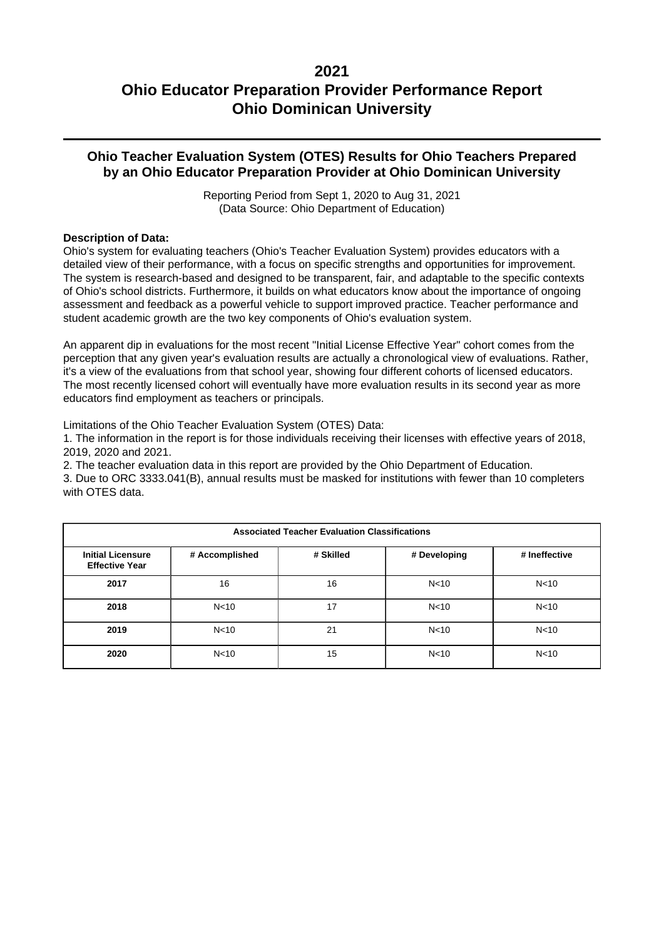### **Ohio Teacher Evaluation System (OTES) Results for Ohio Teachers Prepared by an Ohio Educator Preparation Provider at Ohio Dominican University**

Reporting Period from Sept 1, 2020 to Aug 31, 2021 (Data Source: Ohio Department of Education)

#### **Description of Data:**

Ohio's system for evaluating teachers (Ohio's Teacher Evaluation System) provides educators with a detailed view of their performance, with a focus on specific strengths and opportunities for improvement. The system is research-based and designed to be transparent, fair, and adaptable to the specific contexts of Ohio's school districts. Furthermore, it builds on what educators know about the importance of ongoing assessment and feedback as a powerful vehicle to support improved practice. Teacher performance and student academic growth are the two key components of Ohio's evaluation system.

An apparent dip in evaluations for the most recent "Initial License Effective Year" cohort comes from the perception that any given year's evaluation results are actually a chronological view of evaluations. Rather, it's a view of the evaluations from that school year, showing four different cohorts of licensed educators. The most recently licensed cohort will eventually have more evaluation results in its second year as more educators find employment as teachers or principals.

Limitations of the Ohio Teacher Evaluation System (OTES) Data:

1. The information in the report is for those individuals receiving their licenses with effective years of 2018, 2019, 2020 and 2021.

2. The teacher evaluation data in this report are provided by the Ohio Department of Education.

3. Due to ORC 3333.041(B), annual results must be masked for institutions with fewer than 10 completers with OTES data.

| <b>Associated Teacher Evaluation Classifications</b> |                 |           |                 |                 |  |  |  |
|------------------------------------------------------|-----------------|-----------|-----------------|-----------------|--|--|--|
| <b>Initial Licensure</b><br><b>Effective Year</b>    | # Accomplished  | # Skilled | # Developing    | # Ineffective   |  |  |  |
| 2017                                                 | 16              | 16        | N <sub>10</sub> | N <sub>10</sub> |  |  |  |
| 2018                                                 | N <sub>10</sub> | 17        | N <sub>10</sub> | N <sub>10</sub> |  |  |  |
| 2019                                                 | N <sub>10</sub> | 21        | N <sub>10</sub> | N <sub>10</sub> |  |  |  |
| 2020                                                 | N <sub>10</sub> | 15        | N <sub>10</sub> | N <sub>10</sub> |  |  |  |

### **2021**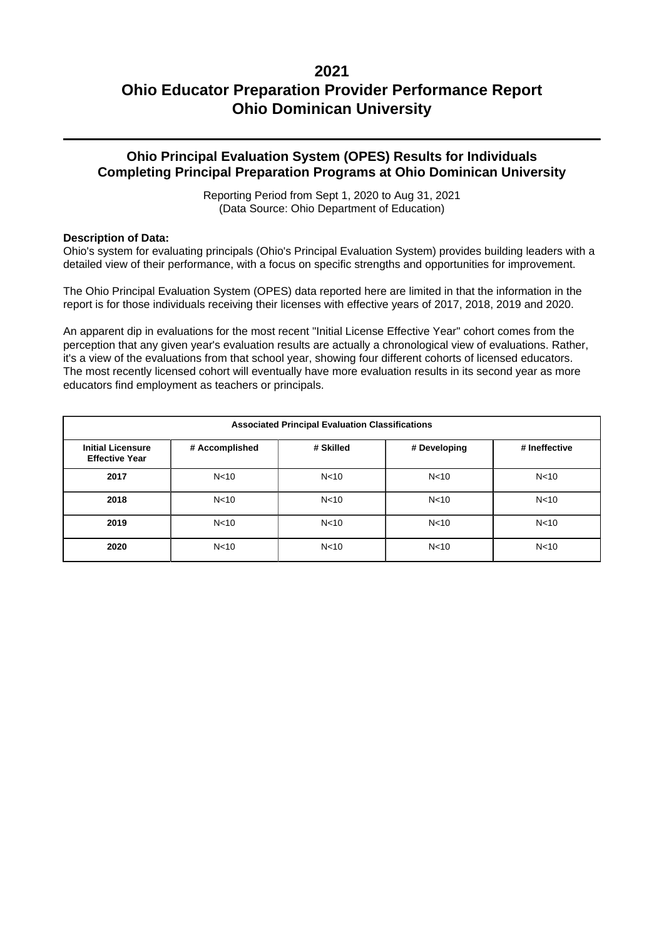### **Ohio Principal Evaluation System (OPES) Results for Individuals Completing Principal Preparation Programs at Ohio Dominican University**

Reporting Period from Sept 1, 2020 to Aug 31, 2021 (Data Source: Ohio Department of Education)

#### **Description of Data:**

Ohio's system for evaluating principals (Ohio's Principal Evaluation System) provides building leaders with a detailed view of their performance, with a focus on specific strengths and opportunities for improvement.

The Ohio Principal Evaluation System (OPES) data reported here are limited in that the information in the report is for those individuals receiving their licenses with effective years of 2017, 2018, 2019 and 2020.

An apparent dip in evaluations for the most recent "Initial License Effective Year" cohort comes from the perception that any given year's evaluation results are actually a chronological view of evaluations. Rather, it's a view of the evaluations from that school year, showing four different cohorts of licensed educators. The most recently licensed cohort will eventually have more evaluation results in its second year as more educators find employment as teachers or principals.

| <b>Associated Principal Evaluation Classifications</b> |                 |                 |                 |                 |  |  |  |
|--------------------------------------------------------|-----------------|-----------------|-----------------|-----------------|--|--|--|
| <b>Initial Licensure</b><br><b>Effective Year</b>      | # Accomplished  | # Skilled       | # Developing    | # Ineffective   |  |  |  |
| 2017                                                   | N <sub>10</sub> | N <sub>10</sub> | N <sub>10</sub> | N <sub>10</sub> |  |  |  |
| 2018                                                   | N <sub>10</sub> | N <sub>10</sub> | N <sub>10</sub> | N <sub>10</sub> |  |  |  |
| 2019                                                   | N <sub>10</sub> | N <sub>10</sub> | N <sub>10</sub> | N <sub>10</sub> |  |  |  |
| 2020                                                   | N <sub>10</sub> | N <sub>10</sub> | N <sub>10</sub> | N <sub>10</sub> |  |  |  |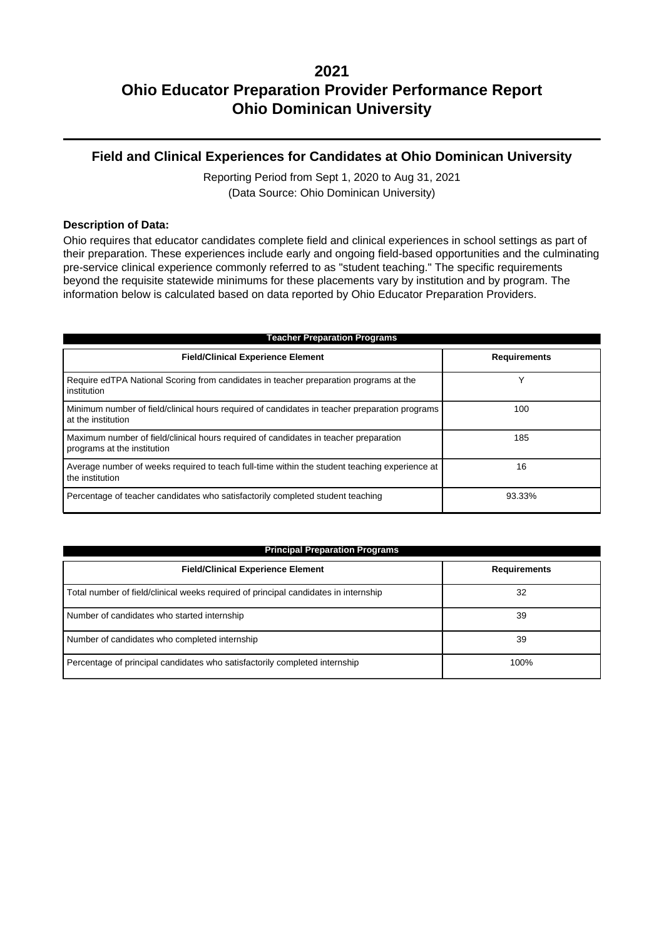### **Field and Clinical Experiences for Candidates at Ohio Dominican University**

Reporting Period from Sept 1, 2020 to Aug 31, 2021 (Data Source: Ohio Dominican University)

#### **Description of Data:**

Ohio requires that educator candidates complete field and clinical experiences in school settings as part of their preparation. These experiences include early and ongoing field-based opportunities and the culminating pre-service clinical experience commonly referred to as "student teaching." The specific requirements beyond the requisite statewide minimums for these placements vary by institution and by program. The information below is calculated based on data reported by Ohio Educator Preparation Providers.

| <b>Teacher Preparation Programs</b>                                                                                 |                     |  |  |  |  |
|---------------------------------------------------------------------------------------------------------------------|---------------------|--|--|--|--|
| <b>Field/Clinical Experience Element</b>                                                                            | <b>Requirements</b> |  |  |  |  |
| Require edTPA National Scoring from candidates in teacher preparation programs at the<br>institution                | v                   |  |  |  |  |
| Minimum number of field/clinical hours required of candidates in teacher preparation programs<br>at the institution | 100                 |  |  |  |  |
| Maximum number of field/clinical hours required of candidates in teacher preparation<br>programs at the institution | 185                 |  |  |  |  |
| Average number of weeks required to teach full-time within the student teaching experience at<br>the institution    | 16                  |  |  |  |  |
| Percentage of teacher candidates who satisfactorily completed student teaching                                      | 93.33%              |  |  |  |  |

| <b>Principal Preparation Programs</b>                                               |                     |  |  |  |
|-------------------------------------------------------------------------------------|---------------------|--|--|--|
| <b>Field/Clinical Experience Element</b>                                            | <b>Requirements</b> |  |  |  |
| Total number of field/clinical weeks required of principal candidates in internship | 32                  |  |  |  |
| Number of candidates who started internship                                         | 39                  |  |  |  |
| Number of candidates who completed internship                                       | 39                  |  |  |  |
| Percentage of principal candidates who satisfactorily completed internship          | 100%                |  |  |  |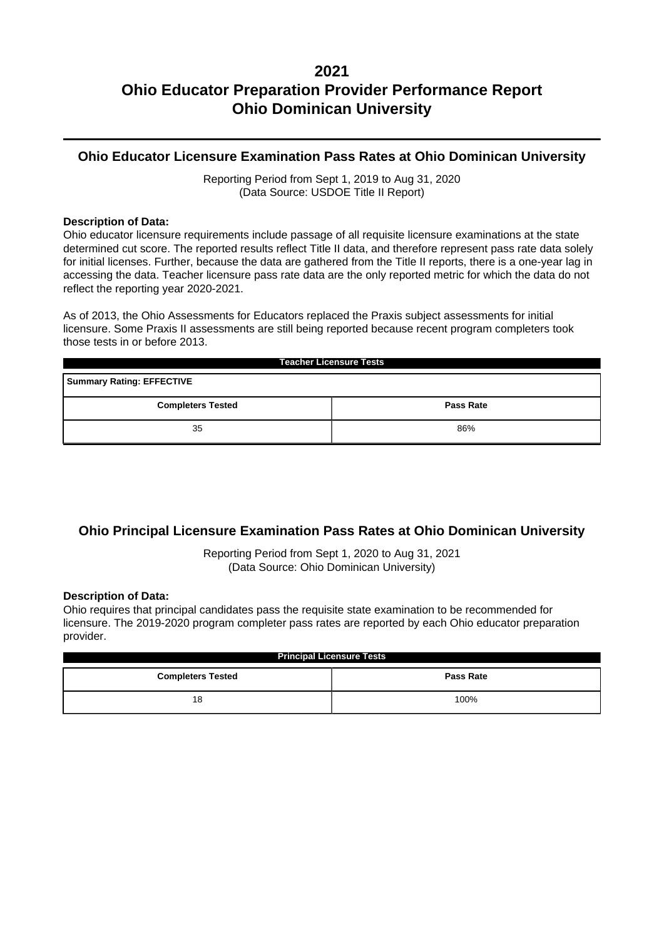### **Ohio Educator Licensure Examination Pass Rates at Ohio Dominican University**

Reporting Period from Sept 1, 2019 to Aug 31, 2020 (Data Source: USDOE Title II Report)

#### **Description of Data:**

Ohio educator licensure requirements include passage of all requisite licensure examinations at the state determined cut score. The reported results reflect Title II data, and therefore represent pass rate data solely for initial licenses. Further, because the data are gathered from the Title II reports, there is a one-year lag in accessing the data. Teacher licensure pass rate data are the only reported metric for which the data do not reflect the reporting year 2020-2021.

As of 2013, the Ohio Assessments for Educators replaced the Praxis subject assessments for initial licensure. Some Praxis II assessments are still being reported because recent program completers took those tests in or before 2013.

| <b>Teacher Licensure Tests</b>               |     |  |  |  |  |
|----------------------------------------------|-----|--|--|--|--|
| <b>Summary Rating: EFFECTIVE</b>             |     |  |  |  |  |
| <b>Completers Tested</b><br><b>Pass Rate</b> |     |  |  |  |  |
| 35                                           | 86% |  |  |  |  |

### **Ohio Principal Licensure Examination Pass Rates at Ohio Dominican University**

Reporting Period from Sept 1, 2020 to Aug 31, 2021 (Data Source: Ohio Dominican University)

#### **Description of Data:**

Ohio requires that principal candidates pass the requisite state examination to be recommended for licensure. The 2019-2020 program completer pass rates are reported by each Ohio educator preparation provider.

| <b>Principal Licensure Tests</b>             |      |  |  |  |
|----------------------------------------------|------|--|--|--|
| <b>Pass Rate</b><br><b>Completers Tested</b> |      |  |  |  |
| 18                                           | 100% |  |  |  |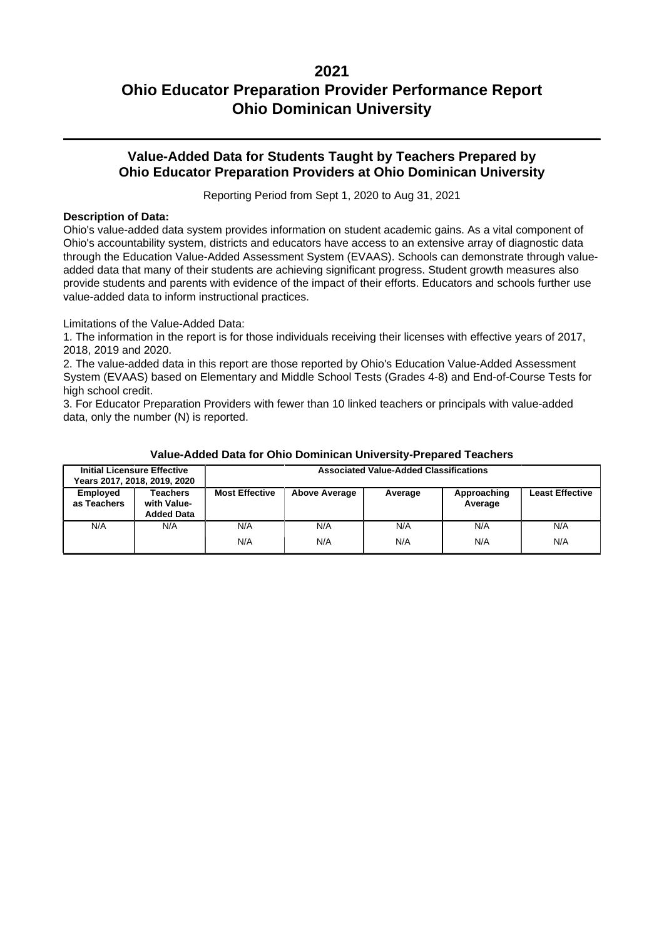### **Value-Added Data for Students Taught by Teachers Prepared by Ohio Educator Preparation Providers at Ohio Dominican University**

Reporting Period from Sept 1, 2020 to Aug 31, 2021

#### **Description of Data:**

Ohio's value-added data system provides information on student academic gains. As a vital component of Ohio's accountability system, districts and educators have access to an extensive array of diagnostic data through the Education Value-Added Assessment System (EVAAS). Schools can demonstrate through valueadded data that many of their students are achieving significant progress. Student growth measures also provide students and parents with evidence of the impact of their efforts. Educators and schools further use value-added data to inform instructional practices.

Limitations of the Value-Added Data:

1. The information in the report is for those individuals receiving their licenses with effective years of 2017, 2018, 2019 and 2020.

2. The value-added data in this report are those reported by Ohio's Education Value-Added Assessment System (EVAAS) based on Elementary and Middle School Tests (Grades 4-8) and End-of-Course Tests for high school credit.

3. For Educator Preparation Providers with fewer than 10 linked teachers or principals with value-added data, only the number (N) is reported.

|                         | <b>Initial Licensure Effective</b><br>Years 2017, 2018, 2019, 2020 | <b>Associated Value-Added Classifications</b> |                      |            |                        |                        |
|-------------------------|--------------------------------------------------------------------|-----------------------------------------------|----------------------|------------|------------------------|------------------------|
| Employed<br>as Teachers | Teachers<br>with Value-<br><b>Added Data</b>                       | <b>Most Effective</b>                         | <b>Above Average</b> | Average    | Approaching<br>Average | <b>Least Effective</b> |
| N/A                     | N/A                                                                | N/A<br>N/A                                    | N/A<br>N/A           | N/A<br>N/A | N/A<br>N/A             | N/A<br>N/A             |

#### **Value-Added Data for Ohio Dominican University-Prepared Teachers**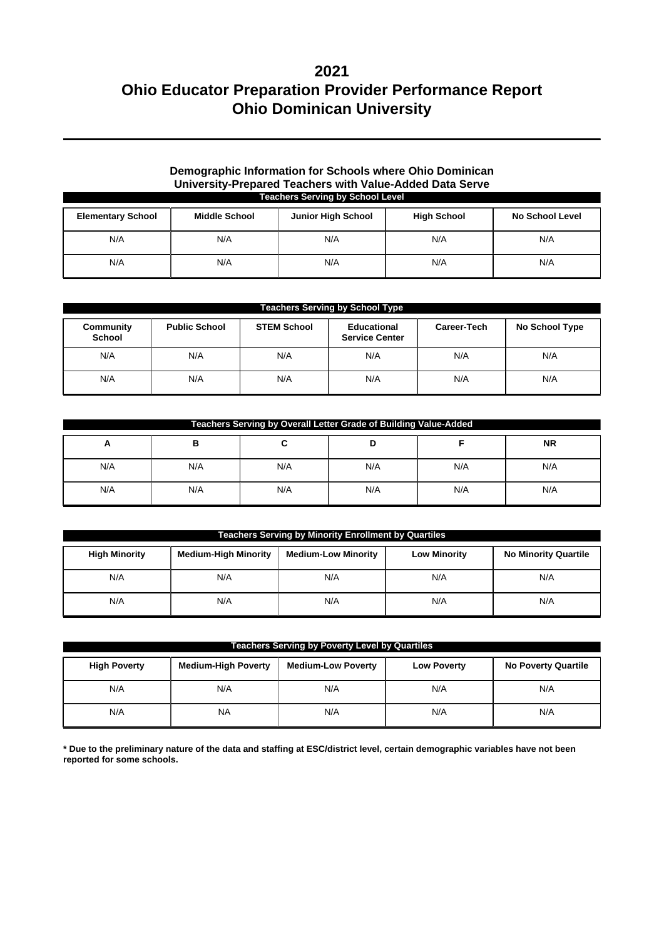#### **Demographic Information for Schools where Ohio Dominican University-Prepared Teachers with Value-Added Data Serve Teachers Serving by School Level**

| <b>Elementary School</b> | <b>Middle School</b> | <b>Junior High School</b> | <b>High School</b> | No School Level |
|--------------------------|----------------------|---------------------------|--------------------|-----------------|
| N/A                      | N/A                  | N/A                       | N/A                | N/A             |
| N/A                      | N/A                  | N/A                       | N/A                | N/A             |

|                            | <b>Teachers Serving by School Type</b> |                    |                                      |             |                |  |  |
|----------------------------|----------------------------------------|--------------------|--------------------------------------|-------------|----------------|--|--|
| Community<br><b>School</b> | <b>Public School</b>                   | <b>STEM School</b> | Educational<br><b>Service Center</b> | Career-Tech | No School Type |  |  |
| N/A                        | N/A                                    | N/A                | N/A                                  | N/A         | N/A            |  |  |
| N/A                        | N/A                                    | N/A                | N/A                                  | N/A         | N/A            |  |  |

| Teachers Serving by Overall Letter Grade of Building Value-Added |     |     |     |     |           |  |
|------------------------------------------------------------------|-----|-----|-----|-----|-----------|--|
| A                                                                | в   |     |     |     | <b>NR</b> |  |
| N/A                                                              | N/A | N/A | N/A | N/A | N/A       |  |
| N/A                                                              | N/A | N/A | N/A | N/A | N/A       |  |

| <b>Teachers Serving by Minority Enrollment by Quartiles</b> |                             |                            |                     |                             |  |  |
|-------------------------------------------------------------|-----------------------------|----------------------------|---------------------|-----------------------------|--|--|
| <b>High Minority</b>                                        | <b>Medium-High Minority</b> | <b>Medium-Low Minority</b> | <b>Low Minority</b> | <b>No Minority Quartile</b> |  |  |
| N/A                                                         | N/A                         | N/A                        | N/A                 | N/A                         |  |  |
| N/A                                                         | N/A                         | N/A                        | N/A                 | N/A                         |  |  |

| <b>Teachers Serving by Poverty Level by Quartiles</b> |                            |                           |                    |                            |  |  |
|-------------------------------------------------------|----------------------------|---------------------------|--------------------|----------------------------|--|--|
| <b>High Poverty</b>                                   | <b>Medium-High Poverty</b> | <b>Medium-Low Poverty</b> | <b>Low Poverty</b> | <b>No Poverty Quartile</b> |  |  |
| N/A                                                   | N/A                        | N/A                       | N/A                | N/A                        |  |  |
| N/A                                                   | <b>NA</b>                  | N/A                       | N/A                | N/A                        |  |  |

**\* Due to the preliminary nature of the data and staffing at ESC/district level, certain demographic variables have not been reported for some schools.**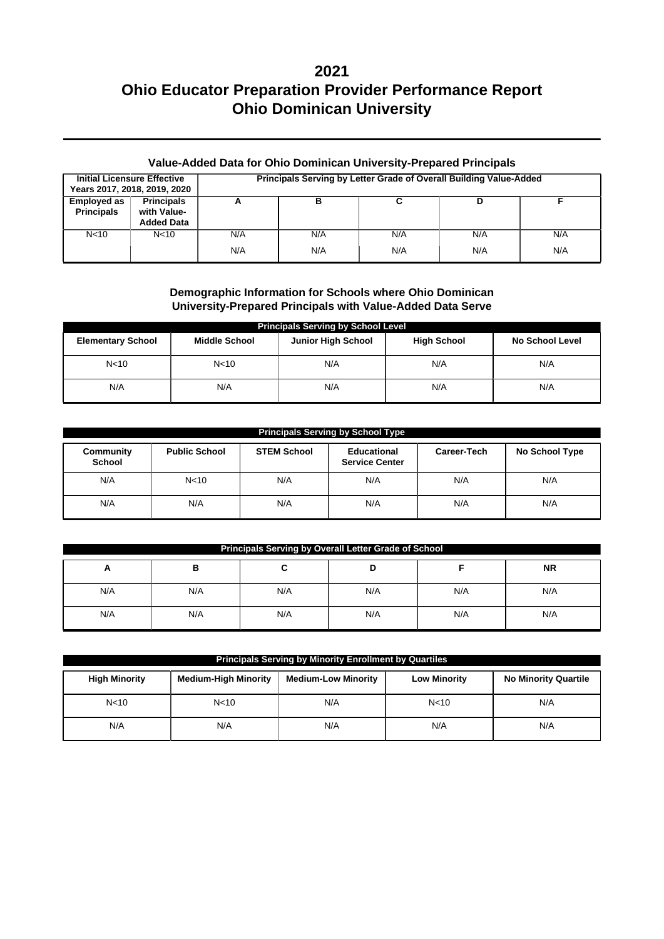### **Value-Added Data for Ohio Dominican University-Prepared Principals**

|                                         | <b>Initial Licensure Effective</b><br>Years 2017, 2018, 2019, 2020 | Principals Serving by Letter Grade of Overall Building Value-Added |            |            |            |            |
|-----------------------------------------|--------------------------------------------------------------------|--------------------------------------------------------------------|------------|------------|------------|------------|
| <b>Employed as</b><br><b>Principals</b> | <b>Principals</b><br>with Value-<br><b>Added Data</b>              | А                                                                  |            |            |            |            |
| N <sub>10</sub>                         | N <sub>10</sub>                                                    | N/A<br>N/A                                                         | N/A<br>N/A | N/A<br>N/A | N/A<br>N/A | N/A<br>N/A |

### **Demographic Information for Schools where Ohio Dominican University-Prepared Principals with Value-Added Data Serve**

| <b>Principals Serving by School Level</b> |                      |                           |                    |                        |  |  |  |  |
|-------------------------------------------|----------------------|---------------------------|--------------------|------------------------|--|--|--|--|
| <b>Elementary School</b>                  | <b>Middle School</b> | <b>Junior High School</b> | <b>High School</b> | <b>No School Level</b> |  |  |  |  |
| N <sub>10</sub>                           | N <sub>10</sub>      | N/A                       | N/A                | N/A                    |  |  |  |  |
| N/A                                       | N/A                  | N/A                       | N/A                | N/A                    |  |  |  |  |

| <b>Principals Serving by School Type</b> |                      |             |                |     |     |  |  |  |
|------------------------------------------|----------------------|-------------|----------------|-----|-----|--|--|--|
| Community<br><b>School</b>               | <b>Public School</b> | Career-Tech | No School Type |     |     |  |  |  |
| N/A                                      | N <sub>10</sub>      | N/A         | N/A            | N/A | N/A |  |  |  |
| N/A                                      | N/A                  | N/A         | N/A            | N/A | N/A |  |  |  |

| Principals Serving by Overall Letter Grade of School |     |     |     |     |     |  |  |  |
|------------------------------------------------------|-----|-----|-----|-----|-----|--|--|--|
| <b>NR</b><br>в<br>D<br>A<br>∼                        |     |     |     |     |     |  |  |  |
| N/A                                                  | N/A | N/A | N/A | N/A | N/A |  |  |  |
| N/A                                                  | N/A | N/A | N/A | N/A | N/A |  |  |  |

| <b>Principals Serving by Minority Enrollment by Quartiles</b> |                             |                            |                     |                             |  |  |  |
|---------------------------------------------------------------|-----------------------------|----------------------------|---------------------|-----------------------------|--|--|--|
| <b>High Minority</b>                                          | <b>Medium-High Minority</b> | <b>Medium-Low Minority</b> | <b>Low Minority</b> | <b>No Minority Quartile</b> |  |  |  |
| N <sub>10</sub>                                               | N <sub>10</sub>             | N/A                        | N <sub>10</sub>     | N/A                         |  |  |  |
| N/A                                                           | N/A                         | N/A                        | N/A                 | N/A                         |  |  |  |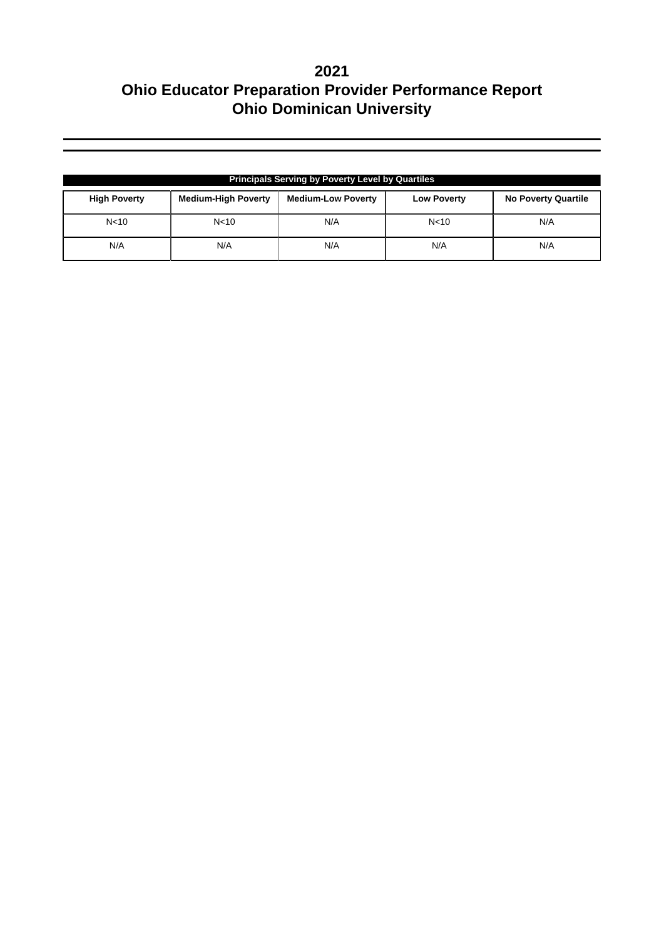| <b>Principals Serving by Poverty Level by Quartiles</b> |                            |                           |                    |                            |  |  |  |
|---------------------------------------------------------|----------------------------|---------------------------|--------------------|----------------------------|--|--|--|
| <b>High Poverty</b>                                     | <b>Medium-High Poverty</b> | <b>Medium-Low Poverty</b> | <b>Low Poverty</b> | <b>No Poverty Quartile</b> |  |  |  |
| N <sub>10</sub>                                         | N <sub>10</sub>            | N/A                       | N <sub>10</sub>    | N/A                        |  |  |  |
| N/A                                                     | N/A                        | N/A                       | N/A                | N/A                        |  |  |  |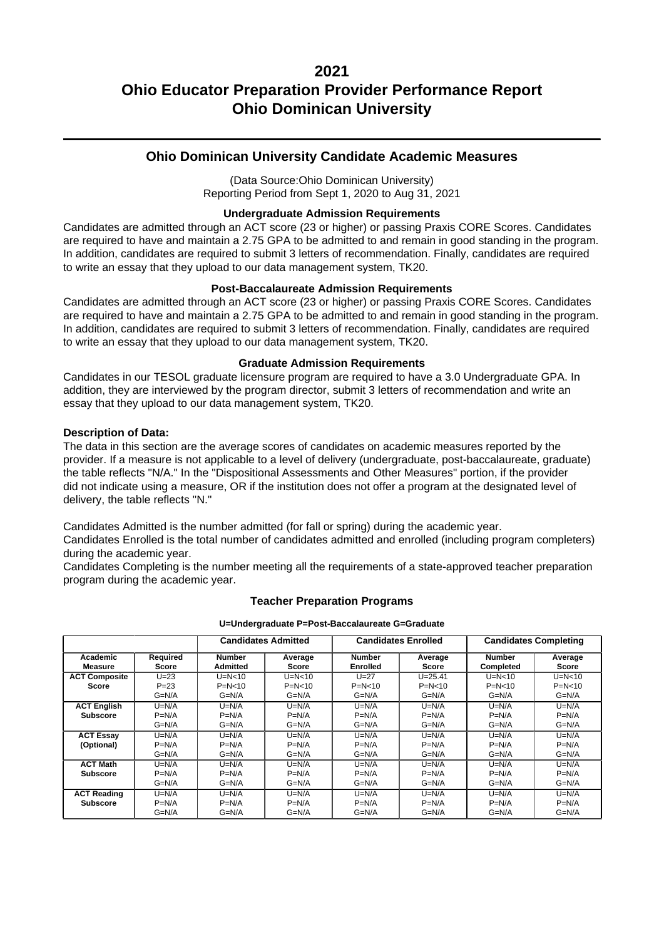### **Ohio Dominican University Candidate Academic Measures**

(Data Source:Ohio Dominican University) Reporting Period from Sept 1, 2020 to Aug 31, 2021

#### **Undergraduate Admission Requirements**

Candidates are admitted through an ACT score (23 or higher) or passing Praxis CORE Scores. Candidates are required to have and maintain a 2.75 GPA to be admitted to and remain in good standing in the program. In addition, candidates are required to submit 3 letters of recommendation. Finally, candidates are required to write an essay that they upload to our data management system, TK20.

#### **Post-Baccalaureate Admission Requirements**

Candidates are admitted through an ACT score (23 or higher) or passing Praxis CORE Scores. Candidates are required to have and maintain a 2.75 GPA to be admitted to and remain in good standing in the program. In addition, candidates are required to submit 3 letters of recommendation. Finally, candidates are required to write an essay that they upload to our data management system, TK20.

#### **Graduate Admission Requirements**

Candidates in our TESOL graduate licensure program are required to have a 3.0 Undergraduate GPA. In addition, they are interviewed by the program director, submit 3 letters of recommendation and write an essay that they upload to our data management system, TK20.

#### **Description of Data:**

The data in this section are the average scores of candidates on academic measures reported by the provider. If a measure is not applicable to a level of delivery (undergraduate, post-baccalaureate, graduate) the table reflects "N/A." In the "Dispositional Assessments and Other Measures" portion, if the provider did not indicate using a measure. OR if the institution does not offer a program at the designated level of delivery, the table reflects "N."

Candidates Admitted is the number admitted (for fall or spring) during the academic year.

Candidates Enrolled is the total number of candidates admitted and enrolled (including program completers) during the academic year.

Candidates Completing is the number meeting all the requirements of a state-approved teacher preparation program during the academic year.

#### **Teacher Preparation Programs**

**U=Undergraduate P=Post-Baccalaureate G=Graduate**

|                      |                   |                                  | <b>Candidates Admitted</b> |                                  | <b>Candidates Enrolled</b> |                            | <b>Candidates Completing</b> |
|----------------------|-------------------|----------------------------------|----------------------------|----------------------------------|----------------------------|----------------------------|------------------------------|
| Academic<br>Measure  | Required<br>Score | <b>Number</b><br><b>Admitted</b> | Average<br>Score           | <b>Number</b><br><b>Enrolled</b> | Average<br>Score           | <b>Number</b><br>Completed | Average<br>Score             |
| <b>ACT Composite</b> | $U = 23$          | $U=N<10$                         | $U=N<10$                   | $U = 27$                         | $U = 25.41$                | $U=N<10$                   | $U=N<10$                     |
| Score                | $P = 23$          | $P = N < 10$                     | $P=N<10$                   | $P = N < 10$                     | $P = N < 10$               | $P = N < 10$               | $P = N < 10$                 |
|                      | $G=N/A$           | $G=N/A$                          | $G=N/A$                    | $G=N/A$                          | $G=N/A$                    | $G=N/A$                    | $G=N/A$                      |
| <b>ACT English</b>   | $U=N/A$           | $U=N/A$                          | $U=N/A$                    | $U=N/A$                          | $U=N/A$                    | $U=N/A$                    | $U=N/A$                      |
| <b>Subscore</b>      | $P=N/A$           | $P=N/A$                          | $P=N/A$                    | $P=N/A$                          | $P=N/A$                    | $P=N/A$                    | $P=N/A$                      |
|                      | $G=N/A$           | $G=N/A$                          | $G=N/A$                    | $G=N/A$                          | $G=N/A$                    | $G=N/A$                    | $G=N/A$                      |
| <b>ACT Essay</b>     | $U=N/A$           | $U=N/A$                          | $U=N/A$                    | $U=N/A$                          | $U=N/A$                    | $U=N/A$                    | $U=N/A$                      |
| (Optional)           | $P=N/A$           | $P=N/A$                          | $P=N/A$                    | $P=N/A$                          | $P=N/A$                    | $P=N/A$                    | $P=N/A$                      |
|                      | $G=N/A$           | $G=N/A$                          | $G=N/A$                    | $G=N/A$                          | $G=N/A$                    | $G=N/A$                    | $G=N/A$                      |
| <b>ACT Math</b>      | $U=N/A$           | $U=N/A$                          | $U=N/A$                    | $U=N/A$                          | $U=N/A$                    | $U=N/A$                    | $U=N/A$                      |
| <b>Subscore</b>      | $P=N/A$           | $P=N/A$                          | $P=N/A$                    | $P=N/A$                          | $P=N/A$                    | $P=N/A$                    | $P=N/A$                      |
|                      | $G=N/A$           | $G=N/A$                          | $G=N/A$                    | $G=N/A$                          | $G=N/A$                    | $G=N/A$                    | $G=N/A$                      |
| <b>ACT Reading</b>   | $U=N/A$           | $U=N/A$                          | $U=N/A$                    | $U=N/A$                          | $U=N/A$                    | $U=N/A$                    | $U=N/A$                      |
| <b>Subscore</b>      | $P=N/A$           | $P=N/A$                          | $P=N/A$                    | $P=N/A$                          | $P=N/A$                    | $P=N/A$                    | $P=N/A$                      |
|                      | $G=N/A$           | $G=N/A$                          | $G=N/A$                    | $G=N/A$                          | $G=N/A$                    | $G=N/A$                    | $G=N/A$                      |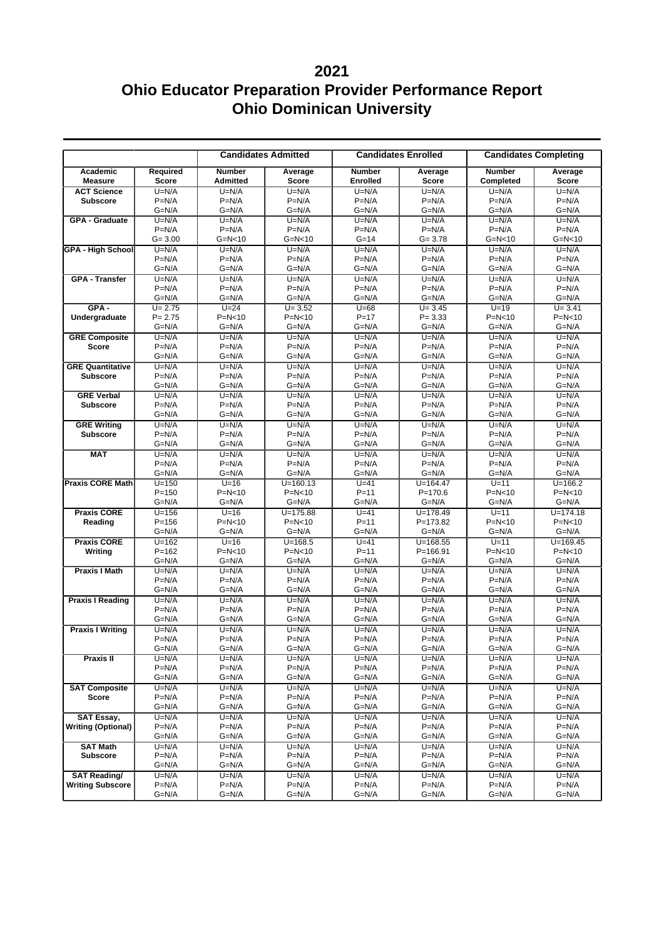## **2021**

|                                            |                          |                                  | <b>Candidates Admitted</b> |                                  | <b>Candidates Enrolled</b>  |                                   | <b>Candidates Completing</b> |
|--------------------------------------------|--------------------------|----------------------------------|----------------------------|----------------------------------|-----------------------------|-----------------------------------|------------------------------|
| Academic<br><b>Measure</b>                 | Required<br><b>Score</b> | <b>Number</b><br><b>Admitted</b> | Average<br><b>Score</b>    | <b>Number</b><br><b>Enrolled</b> | Average<br><b>Score</b>     | <b>Number</b><br><b>Completed</b> | Average<br>Score             |
| <b>ACT Science</b>                         | $U=N/A$                  | $U=N/A$                          | $U=N/A$                    | $U=N/A$                          | $U=N/A$                     | $U=N/A$                           | $U=N/A$                      |
| <b>Subscore</b>                            | $P=N/A$                  | $P=N/A$                          | $P=N/A$                    | $P=N/A$                          | $P=N/A$                     | $P=N/A$                           | $P=N/A$                      |
|                                            | $G=N/A$                  | $G=N/A$                          | $G=N/A$                    | $G=N/A$                          | $G=N/A$                     | $G=N/A$                           | $G=N/A$                      |
| <b>GPA - Graduate</b>                      | $U=N/A$                  | $U=N/A$                          | $U=N/A$                    | $U=N/A$                          | $U=N/A$                     | $U=N/A$                           | $U=N/A$                      |
|                                            | $P=N/A$<br>$G = 3.00$    | $P=N/A$<br>$G=N<10$              | $P=N/A$<br>$G=N<10$        | $P=N/A$<br>$G = 14$              | $P=N/A$<br>$G = 3.78$       | $P=N/A$<br>$G=N<10$               | $P=N/A$<br>$G=N<10$          |
| <b>GPA - High School</b>                   | $U=N/A$                  | $U=N/A$                          | $U=N/A$                    | $U=N/A$                          | $U=N/A$                     | $U=N/A$                           | $U=N/A$                      |
|                                            | $P=N/A$                  | $P=N/A$                          | $P=N/A$                    | $P=N/A$                          | $P=N/A$                     | $P=N/A$                           | $P=N/A$                      |
|                                            | $G=N/A$                  | $G=N/A$                          | $G=N/A$                    | $G=N/A$                          | $G=N/A$                     | $G=N/A$                           | $G=N/A$                      |
| <b>GPA - Transfer</b>                      | $U=N/A$                  | $U=N/A$                          | $U=N/A$                    | $U=N/A$                          | $U=N/A$                     | $U=N/A$                           | $U=N/A$                      |
|                                            | $P=N/A$                  | $P=N/A$                          | $P=N/A$                    | $P=N/A$                          | $P=N/A$                     | $P=N/A$                           | $P=N/A$                      |
|                                            | $G=N/A$                  | $G=N/A$                          | $G=N/A$                    | $G=N/A$                          | $G=N/A$                     | G=N/A                             | $G=N/A$                      |
| $GPA -$                                    | $U = 2.75$               | $U=24$                           | $U = 3.52$                 | $U=68$                           | $U = 3.45$                  | $U=19$                            | $U = 3.41$                   |
| Undergraduate                              | $P = 2.75$               | $P=N<10$                         | $P=N<10$                   | $P = 17$                         | $P = 3.33$                  | $P=N<10$                          | $P=N<10$                     |
|                                            | $G=N/A$                  | $G=N/A$                          | $G=N/A$                    | $G=N/A$                          | $G=N/A$                     | $G=N/A$                           | $G=N/A$                      |
| <b>GRE Composite</b>                       | $U=N/A$                  | $U=N/A$                          | $U=N/A$                    | $U=N/A$                          | $U=N/A$                     | $U=N/A$                           | $U=N/A$                      |
| <b>Score</b>                               | $P=N/A$                  | $P=N/A$                          | $P=N/A$                    | $P=N/A$                          | $P=N/A$                     | $P=N/A$                           | $P=N/A$                      |
|                                            | $G=N/A$<br>$U=N/A$       | $G=N/A$<br>$U=N/A$               | $G=N/A$                    | $G=N/A$<br>$U=N/A$               | $G=N/A$<br>$U=N/A$          | $G=N/A$                           | $G=N/A$                      |
| <b>GRE Quantitative</b><br><b>Subscore</b> | $P=N/A$                  | $P=N/A$                          | $U=N/A$<br>$P=N/A$         | $P=N/A$                          | $P=N/A$                     | $U=N/A$<br>$P=N/A$                | $U=N/A$<br>$P=N/A$           |
|                                            | $G=N/A$                  | $G=N/A$                          | $G=N/A$                    | $G=N/A$                          | $G=N/A$                     | $G=N/A$                           | $G=N/A$                      |
| <b>GRE Verbal</b>                          | $U=N/A$                  | $U=N/A$                          | $U=N/A$                    | $U=N/A$                          | $U=N/A$                     | $U=N/A$                           | $U=N/A$                      |
| <b>Subscore</b>                            | $P=N/A$                  | $P=N/A$                          | $P=N/A$                    | $P=N/A$                          | $P=N/A$                     | $P=N/A$                           | $P=N/A$                      |
|                                            | $G=N/A$                  | $G=N/A$                          | $G=N/A$                    | $G=N/A$                          | G=N/A                       | $G=N/A$                           | $G=N/A$                      |
| <b>GRE Writing</b>                         | $U=N/A$                  | $U=N/A$                          | $U=N/A$                    | $U=N/A$                          | $U=N/A$                     | $U=N/A$                           | $U=N/A$                      |
| <b>Subscore</b>                            | $P=N/A$                  | $P=N/A$                          | $P=N/A$                    | $P=N/A$                          | $P=N/A$                     | $P=N/A$                           | $P=N/A$                      |
|                                            | $G=N/A$                  | $G=N/A$                          | $G=N/A$                    | $G=N/A$                          | $G=N/A$                     | $G=N/A$                           | $G=N/A$                      |
| <b>MAT</b>                                 | $U=N/A$                  | $U=N/A$                          | $U=N/A$                    | $U=N/A$                          | $U=N/A$                     | $U=N/A$                           | $U=N/A$                      |
|                                            | $P=N/A$                  | $P=N/A$                          | $P=N/A$                    | $P=N/A$                          | $P=N/A$                     | $P=N/A$                           | $P=N/A$                      |
|                                            | $G=N/A$                  | $G=N/A$                          | $G=N/A$                    | $G=N/A$                          | $G=N/A$                     | $G=N/A$                           | $G=N/A$                      |
| <b>Praxis CORE Math</b>                    | $U = 150$<br>$P = 150$   | $U=16$<br>$P=N<10$               | $U = 160.13$<br>$P=N<10$   | $U=41$<br>$P = 11$               | $U = 164.47$<br>$P = 170.6$ | $U = 11$<br>$P=N<10$              | $U = 166.2$<br>$P=N<10$      |
|                                            | $G=N/A$                  | $G=N/A$                          | $G=N/A$                    | $G=N/A$                          | $G=N/A$                     | $G=N/A$                           | $G=N/A$                      |
| <b>Praxis CORE</b>                         | $U = 156$                | $U=16$                           | $U = 175.88$               | $U=41$                           | $U = 178.49$                | $U=11$                            | $U = 174.18$                 |
| Reading                                    | $P = 156$                | $P=N<10$                         | $P=N<10$                   | $P = 11$                         | $P = 173.82$                | $P=N<10$                          | $P=N<10$                     |
|                                            | $G=N/A$                  | $G=N/A$                          | $G=N/A$                    | $G=N/A$                          | $G=N/A$                     | $G=N/A$                           | $G=N/A$                      |
| <b>Praxis CORE</b>                         | $U = 162$                | $U=16$                           | $U = 168.5$                | $U=41$                           | $U = 168.55$                | $U=11$                            | $U = 169.45$                 |
| Writing                                    | $P = 162$                | $P=N<10$                         | $P=N<10$                   | $P = 11$                         | $P = 166.91$                | $P=N<10$                          | $P=N<10$                     |
|                                            | $G=N/A$                  | $G=N/A$                          | $G=N/A$                    | $G=N/A$                          | $G=N/A$                     | $G=N/A$                           | $G=N/A$                      |
| <b>Praxis I Math</b>                       | $U=N/A$                  | $U=N/A$                          | $U=N/A$                    | $U=N/A$                          | $U=N/A$                     | $U=N/A$                           | $U=N/A$                      |
|                                            | $P=N/A$                  | $P=N/A$                          | $P=N/A$                    | $P=N/A$                          | $P=N/A$                     | $P=N/A$                           | $P=N/A$                      |
|                                            | $G=N/A$<br>$U=N/A$       | $G=N/A$<br>$U=N/A$               | $G=N/A$<br>$U=N/A$         | $G=N/A$<br>$U=N/A$               | $G=N/A$<br>$U=N/A$          | $G=N/A$<br>$U=N/A$                | $G=N/A$<br>$U=N/A$           |
| <b>Praxis I Reading</b>                    | $P=N/A$                  | $P=N/A$                          | $P=N/A$                    | $P=N/A$                          | $P=N/A$                     | $P=N/A$                           | $P=N/A$                      |
|                                            | $G=N/A$                  | $G=N/A$                          | $G=N/A$                    | $G=N/A$                          | $G=N/A$                     | G=N/A                             | $G=N/A$                      |
| <b>Praxis I Writing</b>                    | $U=N/A$                  | $U=N/A$                          | $U=N/A$                    | $U=N/A$                          | $U=N/A$                     | $U=N/A$                           | $U=N/A$                      |
|                                            | $P=N/A$                  | $P=N/A$                          | $P=N/A$                    | $P=N/A$                          | $P=N/A$                     | $P=N/A$                           | $P=N/A$                      |
|                                            | $G=N/A$                  | $G=N/A$                          | $G=N/A$                    | $G=N/A$                          | G=N/A                       | $G=N/A$                           | $G=N/A$                      |
| Praxis II                                  | $U=N/A$                  | $U=N/A$                          | $U=N/A$                    | $U=N/A$                          | $U=N/A$                     | $U=N/A$                           | $U=N/A$                      |
|                                            | $P=N/A$                  | $P=N/A$                          | $P=N/A$                    | $P=N/A$                          | $P=N/A$                     | $P=N/A$                           | $P=N/A$                      |
|                                            | $G=N/A$                  | G=N/A                            | $G=N/A$                    | $G=N/A$                          | G=N/A                       | G=N/A                             | $G=N/A$                      |
| <b>SAT Composite</b>                       | $U=N/A$                  | $U=N/A$                          | $U=N/A$                    | $U=N/A$                          | $U=N/A$                     | $U=N/A$                           | $U=N/A$                      |
| Score                                      | $P=N/A$<br>$G=N/A$       | $P=N/A$<br>G=N/A                 | $P=N/A$<br>$G=N/A$         | $P=N/A$<br>$G=N/A$               | $P=N/A$<br>$G=N/A$          | $P=N/A$<br>G=N/A                  | $P=N/A$<br>$G=N/A$           |
| SAT Essay,                                 | $U=N/A$                  | $U=N/A$                          | $U=N/A$                    | $U=N/A$                          | $U=N/A$                     | $U=N/A$                           | $U=N/A$                      |
| <b>Writing (Optional)</b>                  | $P=N/A$                  | $P=N/A$                          | $P=N/A$                    | $P=N/A$                          | $P=N/A$                     | $P=N/A$                           | $P=N/A$                      |
|                                            | $G=N/A$                  | G=N/A                            | $G=N/A$                    | $G=N/A$                          | G=N/A                       | $G=N/A$                           | $G=N/A$                      |
| <b>SAT Math</b>                            | $U=N/A$                  | $U=N/A$                          | $U=N/A$                    | $U=N/A$                          | $U=N/A$                     | $U=N/A$                           | $U=N/A$                      |
| <b>Subscore</b>                            | $P=N/A$                  | $P=N/A$                          | $P=N/A$                    | $P=N/A$                          | $P=N/A$                     | $P=N/A$                           | $P=N/A$                      |
|                                            | $G=N/A$                  | G=N/A                            | $G=N/A$                    | $G=N/A$                          | G=N/A                       | $G=N/A$                           | $G=N/A$                      |
| <b>SAT Reading/</b>                        | $U=N/A$                  | $U=N/A$                          | $U=N/A$                    | $U=N/A$                          | $U=N/A$                     | $U=N/A$                           | $U=N/A$                      |
| <b>Writing Subscore</b>                    | $P=N/A$                  | $P=N/A$                          | $P=N/A$                    | $P=N/A$                          | $P=N/A$                     | $P=N/A$                           | $P=N/A$                      |
|                                            | $G=N/A$                  | $G=N/A$                          | G=N/A                      | $G=N/A$                          | $G=N/A$                     | $G=N/A$                           | $G=N/A$                      |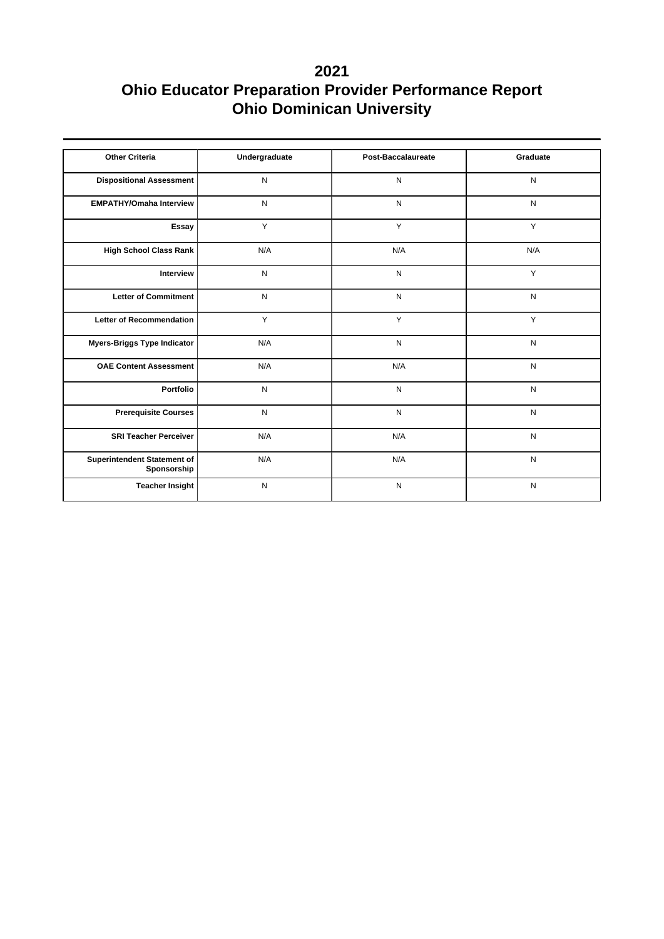| <b>Other Criteria</b>                      | Undergraduate | Post-Baccalaureate | Graduate  |
|--------------------------------------------|---------------|--------------------|-----------|
| <b>Dispositional Assessment</b>            | N             | N                  | N         |
| <b>EMPATHY/Omaha Interview</b>             | $\mathsf{N}$  | N                  | N         |
| Essay                                      | Y             | Y                  | Y         |
| <b>High School Class Rank</b>              | N/A           | N/A                | N/A       |
| Interview                                  | ${\sf N}$     | N                  | Y         |
| <b>Letter of Commitment</b>                | N             | N                  | N         |
| <b>Letter of Recommendation</b>            | Y             | Y                  | Y         |
| Myers-Briggs Type Indicator                | N/A           | N                  | N         |
| <b>OAE Content Assessment</b>              | N/A           | N/A                | N         |
| Portfolio                                  | N             | N                  | N         |
| <b>Prerequisite Courses</b>                | $\mathsf{N}$  | $\mathsf{N}$       | N         |
| <b>SRI Teacher Perceiver</b>               | N/A           | N/A                | N         |
| Superintendent Statement of<br>Sponsorship | N/A           | N/A                | N         |
| <b>Teacher Insight</b>                     | ${\sf N}$     | N                  | ${\sf N}$ |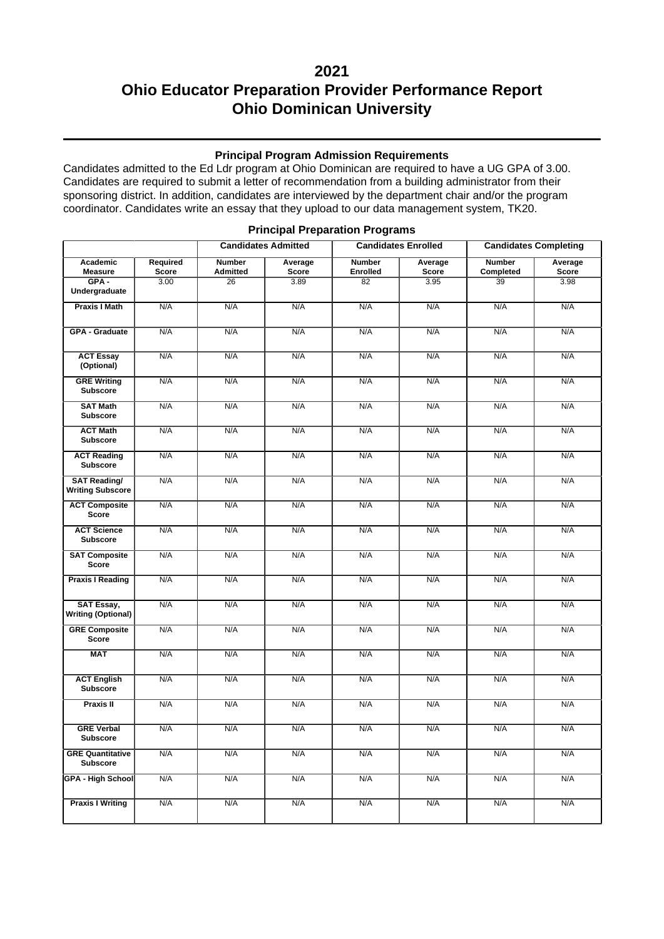### **2021**

## **Ohio Educator Preparation Provider Performance Report Ohio Dominican University**

#### **Principal Program Admission Requirements**

Candidates admitted to the Ed Ldr program at Ohio Dominican are required to have a UG GPA of 3.00. Candidates are required to submit a letter of recommendation from a building administrator from their sponsoring district. In addition, candidates are interviewed by the department chair and/or the program coordinator. Candidates write an essay that they upload to our data management system, TK20.

|                                                |                          | <b>Candidates Admitted</b>       |                         | <b>Candidates Enrolled</b>       |                         | <b>Candidates Completing</b> |                         |
|------------------------------------------------|--------------------------|----------------------------------|-------------------------|----------------------------------|-------------------------|------------------------------|-------------------------|
| Academic<br><b>Measure</b>                     | Required<br><b>Score</b> | <b>Number</b><br><b>Admitted</b> | Average<br><b>Score</b> | <b>Number</b><br><b>Enrolled</b> | Average<br><b>Score</b> | <b>Number</b><br>Completed   | Average<br><b>Score</b> |
| $GPA -$<br>Undergraduate                       | $\frac{1}{3.00}$         | 26                               | 3.89                    | 82                               | 3.95                    | $\overline{39}$              | 3.98                    |
| <b>Praxis I Math</b>                           | N/A                      | N/A                              | N/A                     | N/A                              | N/A                     | N/A                          | N/A                     |
| <b>GPA - Graduate</b>                          | N/A                      | N/A                              | N/A                     | N/A                              | N/A                     | N/A                          | N/A                     |
| <b>ACT Essay</b><br>(Optional)                 | N/A                      | N/A                              | N/A                     | N/A                              | N/A                     | N/A                          | N/A                     |
| <b>GRE Writing</b><br><b>Subscore</b>          | N/A                      | N/A                              | N/A                     | N/A                              | N/A                     | N/A                          | N/A                     |
| <b>SAT Math</b><br><b>Subscore</b>             | N/A                      | N/A                              | N/A                     | N/A                              | N/A                     | N/A                          | N/A                     |
| <b>ACT Math</b><br><b>Subscore</b>             | N/A                      | N/A                              | N/A                     | N/A                              | N/A                     | N/A                          | N/A                     |
| <b>ACT Reading</b><br><b>Subscore</b>          | N/A                      | N/A                              | N/A                     | N/A                              | N/A                     | N/A                          | N/A                     |
| <b>SAT Reading/</b><br><b>Writing Subscore</b> | N/A                      | N/A                              | N/A                     | N/A                              | N/A                     | N/A                          | N/A                     |
| <b>ACT Composite</b><br><b>Score</b>           | N/A                      | N/A                              | N/A                     | N/A                              | N/A                     | N/A                          | N/A                     |
| <b>ACT Science</b><br><b>Subscore</b>          | N/A                      | N/A                              | N/A                     | N/A                              | N/A                     | N/A                          | N/A                     |
| <b>SAT Composite</b><br><b>Score</b>           | N/A                      | N/A                              | N/A                     | N/A                              | N/A                     | N/A                          | N/A                     |
| <b>Praxis I Reading</b>                        | N/A                      | N/A                              | N/A                     | N/A                              | N/A                     | N/A                          | N/A                     |
| <b>SAT Essay,</b><br><b>Writing (Optional)</b> | N/A                      | N/A                              | N/A                     | N/A                              | N/A                     | N/A                          | N/A                     |
| <b>GRE Composite</b><br><b>Score</b>           | N/A                      | N/A                              | N/A                     | N/A                              | N/A                     | N/A                          | N/A                     |
| <b>MAT</b>                                     | N/A                      | N/A                              | N/A                     | N/A                              | N/A                     | N/A                          | N/A                     |
| <b>ACT English</b><br><b>Subscore</b>          | N/A                      | N/A                              | N/A                     | N/A                              | N/A                     | N/A                          | N/A                     |
| <b>Praxis II</b>                               | N/A                      | N/A                              | N/A                     | N/A                              | N/A                     | N/A                          | N/A                     |
| <b>GRE Verbal</b><br><b>Subscore</b>           | N/A                      | N/A                              | N/A                     | N/A                              | N/A                     | N/A                          | N/A                     |
| <b>GRE Quantitative</b><br><b>Subscore</b>     | N/A                      | N/A                              | N/A                     | N/A                              | N/A                     | N/A                          | N/A                     |
| <b>GPA - High School</b>                       | N/A                      | N/A                              | N/A                     | N/A                              | N/A                     | N/A                          | N/A                     |
| <b>Praxis I Writing</b>                        | N/A                      | N/A                              | N/A                     | N/A                              | N/A                     | N/A                          | N/A                     |

#### **Principal Preparation Programs**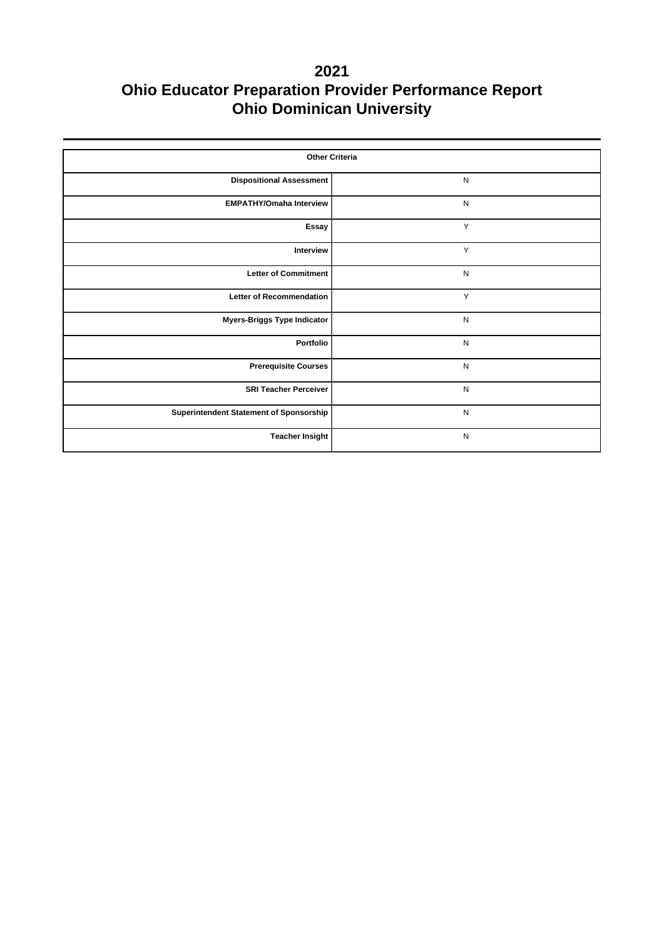| <b>Other Criteria</b>                   |              |  |  |  |  |  |
|-----------------------------------------|--------------|--|--|--|--|--|
| <b>Dispositional Assessment</b>         | ${\sf N}$    |  |  |  |  |  |
| <b>EMPATHY/Omaha Interview</b>          | $\mathsf{N}$ |  |  |  |  |  |
| Essay                                   | Y            |  |  |  |  |  |
| Interview                               | Υ            |  |  |  |  |  |
| <b>Letter of Commitment</b>             | ${\sf N}$    |  |  |  |  |  |
| <b>Letter of Recommendation</b>         | Y            |  |  |  |  |  |
| <b>Myers-Briggs Type Indicator</b>      | $\mathsf{N}$ |  |  |  |  |  |
| Portfolio                               | $\mathsf{N}$ |  |  |  |  |  |
| <b>Prerequisite Courses</b>             | $\mathsf{N}$ |  |  |  |  |  |
| <b>SRI Teacher Perceiver</b>            | $\mathsf{N}$ |  |  |  |  |  |
| Superintendent Statement of Sponsorship | $\mathsf{N}$ |  |  |  |  |  |
| <b>Teacher Insight</b>                  | $\mathsf{N}$ |  |  |  |  |  |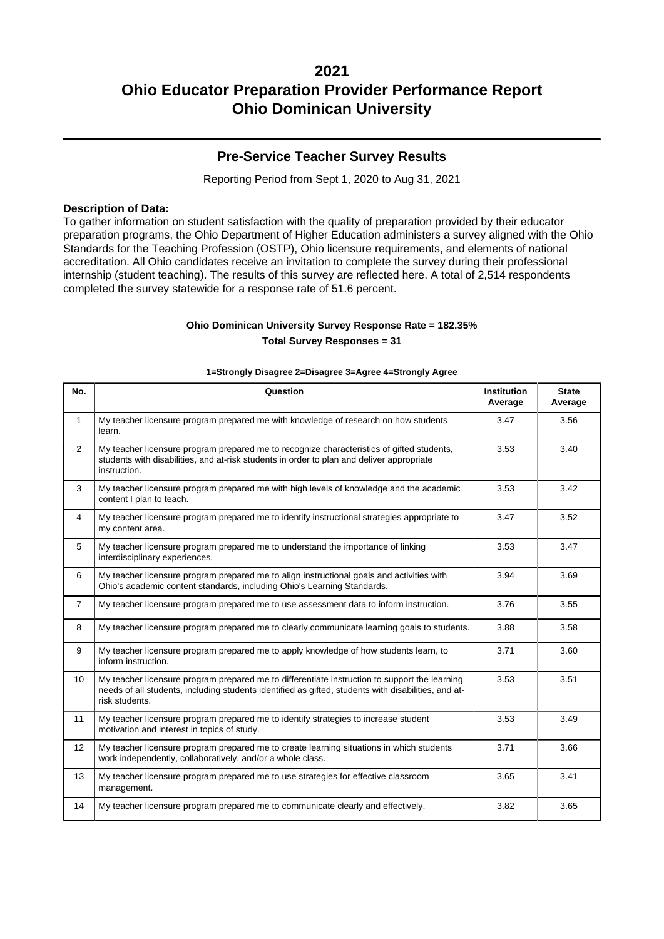### **Pre-Service Teacher Survey Results**

Reporting Period from Sept 1, 2020 to Aug 31, 2021

#### **Description of Data:**

To gather information on student satisfaction with the quality of preparation provided by their educator preparation programs, the Ohio Department of Higher Education administers a survey aligned with the Ohio Standards for the Teaching Profession (OSTP), Ohio licensure requirements, and elements of national accreditation. All Ohio candidates receive an invitation to complete the survey during their professional internship (student teaching). The results of this survey are reflected here. A total of 2,514 respondents completed the survey statewide for a response rate of 51.6 percent.

### **Ohio Dominican University Survey Response Rate = 182.35% Total Survey Responses = 31**

| No.            | Question                                                                                                                                                                                                               | <b>Institution</b><br>Average | <b>State</b><br>Average |
|----------------|------------------------------------------------------------------------------------------------------------------------------------------------------------------------------------------------------------------------|-------------------------------|-------------------------|
| $\mathbf{1}$   | My teacher licensure program prepared me with knowledge of research on how students<br>learn.                                                                                                                          | 3.47                          | 3.56                    |
| 2              | My teacher licensure program prepared me to recognize characteristics of gifted students,<br>students with disabilities, and at-risk students in order to plan and deliver appropriate<br>instruction.                 | 3.53                          | 3.40                    |
| 3              | My teacher licensure program prepared me with high levels of knowledge and the academic<br>content I plan to teach.                                                                                                    | 3.53                          | 3.42                    |
| $\overline{4}$ | My teacher licensure program prepared me to identify instructional strategies appropriate to<br>my content area.                                                                                                       | 3.47                          | 3.52                    |
| 5              | My teacher licensure program prepared me to understand the importance of linking<br>interdisciplinary experiences.                                                                                                     | 3.53                          | 3.47                    |
| 6              | My teacher licensure program prepared me to align instructional goals and activities with<br>Ohio's academic content standards, including Ohio's Learning Standards.                                                   | 3.94                          | 3.69                    |
| $\overline{7}$ | My teacher licensure program prepared me to use assessment data to inform instruction.                                                                                                                                 | 3.76                          | 3.55                    |
| 8              | My teacher licensure program prepared me to clearly communicate learning goals to students.                                                                                                                            | 3.88                          | 3.58                    |
| 9              | My teacher licensure program prepared me to apply knowledge of how students learn, to<br>inform instruction.                                                                                                           | 3.71                          | 3.60                    |
| 10             | My teacher licensure program prepared me to differentiate instruction to support the learning<br>needs of all students, including students identified as gifted, students with disabilities, and at-<br>risk students. | 3.53                          | 3.51                    |
| 11             | My teacher licensure program prepared me to identify strategies to increase student<br>motivation and interest in topics of study.                                                                                     | 3.53                          | 3.49                    |
| 12             | My teacher licensure program prepared me to create learning situations in which students<br>work independently, collaboratively, and/or a whole class.                                                                 | 3.71                          | 3.66                    |
| 13             | My teacher licensure program prepared me to use strategies for effective classroom<br>management.                                                                                                                      | 3.65                          | 3.41                    |
| 14             | My teacher licensure program prepared me to communicate clearly and effectively.                                                                                                                                       | 3.82                          | 3.65                    |

#### **1=Strongly Disagree 2=Disagree 3=Agree 4=Strongly Agree**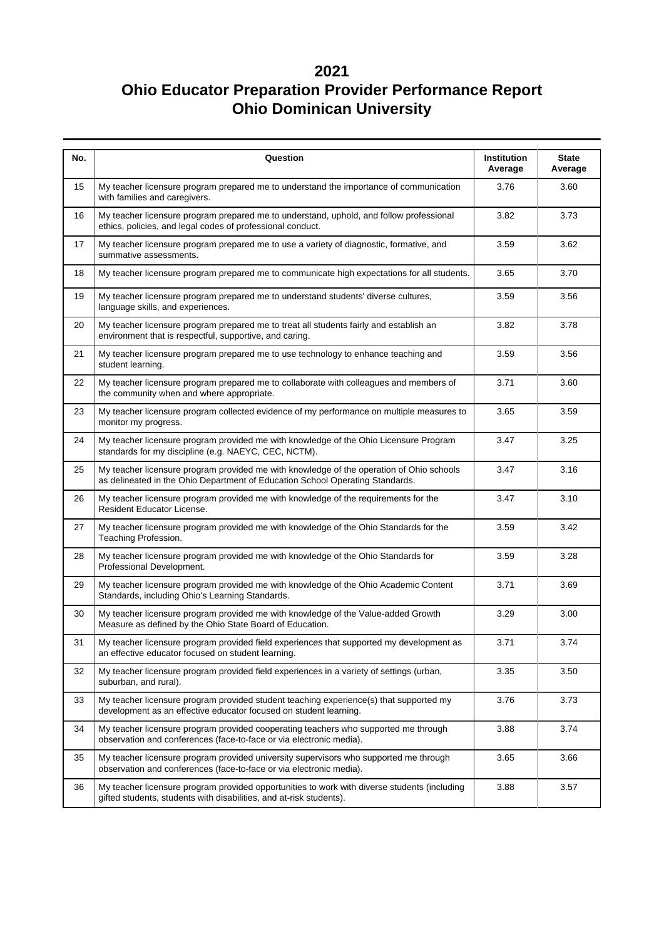| No. | Question                                                                                                                                                                  | Institution<br>Average | <b>State</b><br>Average |
|-----|---------------------------------------------------------------------------------------------------------------------------------------------------------------------------|------------------------|-------------------------|
| 15  | My teacher licensure program prepared me to understand the importance of communication<br>with families and caregivers.                                                   | 3.76                   | 3.60                    |
| 16  | My teacher licensure program prepared me to understand, uphold, and follow professional<br>ethics, policies, and legal codes of professional conduct.                     | 3.82                   | 3.73                    |
| 17  | My teacher licensure program prepared me to use a variety of diagnostic, formative, and<br>summative assessments.                                                         | 3.59                   | 3.62                    |
| 18  | My teacher licensure program prepared me to communicate high expectations for all students.                                                                               | 3.65                   | 3.70                    |
| 19  | My teacher licensure program prepared me to understand students' diverse cultures,<br>language skills, and experiences.                                                   | 3.59                   | 3.56                    |
| 20  | My teacher licensure program prepared me to treat all students fairly and establish an<br>environment that is respectful, supportive, and caring.                         | 3.82                   | 3.78                    |
| 21  | My teacher licensure program prepared me to use technology to enhance teaching and<br>student learning.                                                                   | 3.59                   | 3.56                    |
| 22  | My teacher licensure program prepared me to collaborate with colleagues and members of<br>the community when and where appropriate.                                       | 3.71                   | 3.60                    |
| 23  | My teacher licensure program collected evidence of my performance on multiple measures to<br>monitor my progress.                                                         | 3.65                   | 3.59                    |
| 24  | My teacher licensure program provided me with knowledge of the Ohio Licensure Program<br>standards for my discipline (e.g. NAEYC, CEC, NCTM).                             | 3.47                   | 3.25                    |
| 25  | My teacher licensure program provided me with knowledge of the operation of Ohio schools<br>as delineated in the Ohio Department of Education School Operating Standards. | 3.47                   | 3.16                    |
| 26  | My teacher licensure program provided me with knowledge of the requirements for the<br>Resident Educator License.                                                         | 3.47                   | 3.10                    |
| 27  | My teacher licensure program provided me with knowledge of the Ohio Standards for the<br>Teaching Profession.                                                             | 3.59                   | 3.42                    |
| 28  | My teacher licensure program provided me with knowledge of the Ohio Standards for<br>Professional Development.                                                            | 3.59                   | 3.28                    |
| 29  | My teacher licensure program provided me with knowledge of the Ohio Academic Content<br>Standards, including Ohio's Learning Standards.                                   | 3.71                   | 3.69                    |
| 30  | My teacher licensure program provided me with knowledge of the Value-added Growth<br>Measure as defined by the Ohio State Board of Education.                             | 3.29                   | 3.00                    |
| 31  | My teacher licensure program provided field experiences that supported my development as<br>an effective educator focused on student learning.                            | 3.71                   | 3.74                    |
| 32  | My teacher licensure program provided field experiences in a variety of settings (urban,<br>suburban, and rural).                                                         | 3.35                   | 3.50                    |
| 33  | My teacher licensure program provided student teaching experience(s) that supported my<br>development as an effective educator focused on student learning.               | 3.76                   | 3.73                    |
| 34  | My teacher licensure program provided cooperating teachers who supported me through<br>observation and conferences (face-to-face or via electronic media).                | 3.88                   | 3.74                    |
| 35  | My teacher licensure program provided university supervisors who supported me through<br>observation and conferences (face-to-face or via electronic media).              | 3.65                   | 3.66                    |
| 36  | My teacher licensure program provided opportunities to work with diverse students (including<br>gifted students, students with disabilities, and at-risk students).       | 3.88                   | 3.57                    |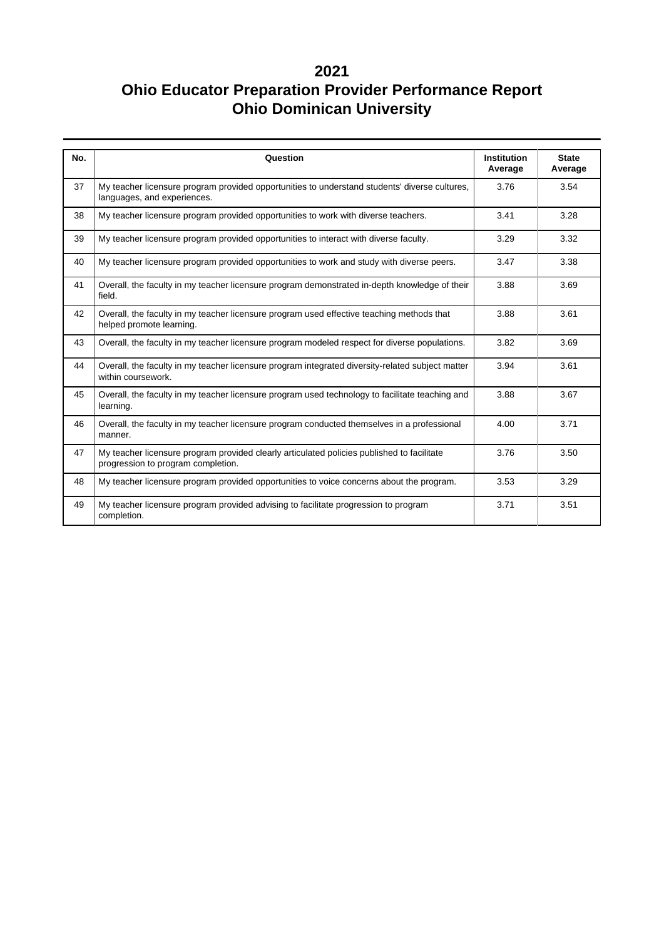| No. | Question                                                                                                                         | <b>Institution</b><br>Average | <b>State</b><br>Average |
|-----|----------------------------------------------------------------------------------------------------------------------------------|-------------------------------|-------------------------|
| 37  | My teacher licensure program provided opportunities to understand students' diverse cultures,<br>languages, and experiences.     | 3.76                          | 3.54                    |
| 38  | My teacher licensure program provided opportunities to work with diverse teachers.                                               | 3.41                          | 3.28                    |
| 39  | My teacher licensure program provided opportunities to interact with diverse faculty.                                            | 3.29                          | 3.32                    |
| 40  | My teacher licensure program provided opportunities to work and study with diverse peers.                                        | 3.47                          | 3.38                    |
| 41  | Overall, the faculty in my teacher licensure program demonstrated in-depth knowledge of their<br>field.                          | 3.88                          | 3.69                    |
| 42  | Overall, the faculty in my teacher licensure program used effective teaching methods that<br>helped promote learning.            | 3.88                          | 3.61                    |
| 43  | Overall, the faculty in my teacher licensure program modeled respect for diverse populations.                                    | 3.82                          | 3.69                    |
| 44  | Overall, the faculty in my teacher licensure program integrated diversity-related subject matter<br>within coursework.           | 3.94                          | 3.61                    |
| 45  | Overall, the faculty in my teacher licensure program used technology to facilitate teaching and<br>learning.                     | 3.88                          | 3.67                    |
| 46  | Overall, the faculty in my teacher licensure program conducted themselves in a professional<br>manner.                           | 4.00                          | 3.71                    |
| 47  | My teacher licensure program provided clearly articulated policies published to facilitate<br>progression to program completion. | 3.76                          | 3.50                    |
| 48  | My teacher licensure program provided opportunities to voice concerns about the program.                                         | 3.53                          | 3.29                    |
| 49  | My teacher licensure program provided advising to facilitate progression to program<br>completion.                               | 3.71                          | 3.51                    |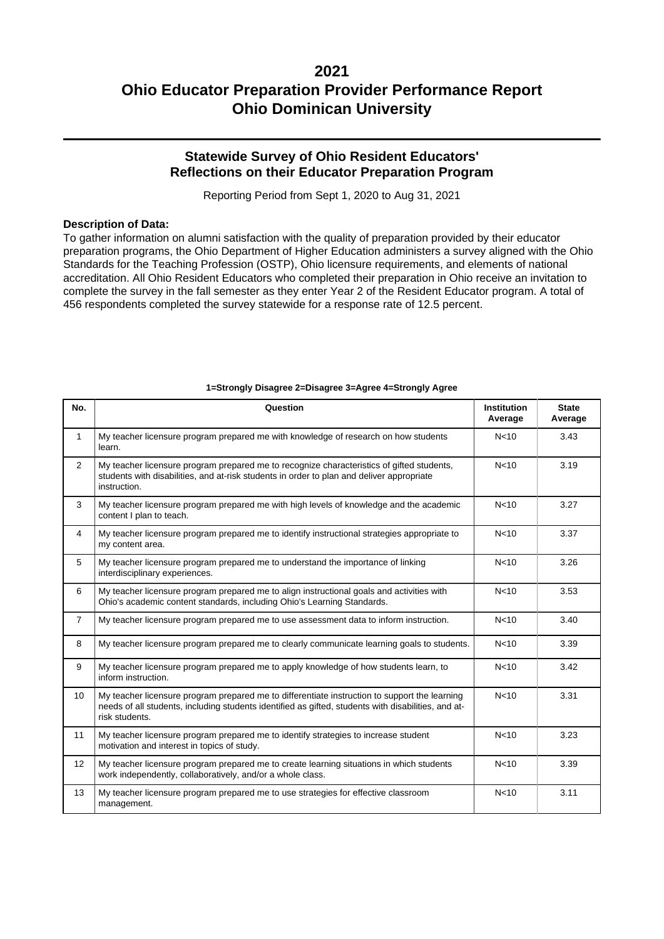### **Statewide Survey of Ohio Resident Educators' Reflections on their Educator Preparation Program**

Reporting Period from Sept 1, 2020 to Aug 31, 2021

#### **Description of Data:**

To gather information on alumni satisfaction with the quality of preparation provided by their educator preparation programs, the Ohio Department of Higher Education administers a survey aligned with the Ohio Standards for the Teaching Profession (OSTP), Ohio licensure requirements, and elements of national accreditation. All Ohio Resident Educators who completed their preparation in Ohio receive an invitation to complete the survey in the fall semester as they enter Year 2 of the Resident Educator program. A total of 456 respondents completed the survey statewide for a response rate of 12.5 percent.

| No.            | Question                                                                                                                                                                                                               | <b>Institution</b><br>Average | <b>State</b><br>Average |
|----------------|------------------------------------------------------------------------------------------------------------------------------------------------------------------------------------------------------------------------|-------------------------------|-------------------------|
| $\mathbf{1}$   | My teacher licensure program prepared me with knowledge of research on how students<br>learn.                                                                                                                          | N <sub>10</sub>               | 3.43                    |
| $\overline{2}$ | My teacher licensure program prepared me to recognize characteristics of gifted students,<br>students with disabilities, and at-risk students in order to plan and deliver appropriate<br>instruction.                 | N <sub>10</sub>               | 3.19                    |
| 3              | My teacher licensure program prepared me with high levels of knowledge and the academic<br>content I plan to teach.                                                                                                    | N <sub>10</sub>               | 3.27                    |
| $\overline{4}$ | My teacher licensure program prepared me to identify instructional strategies appropriate to<br>my content area.                                                                                                       | N <sub>10</sub>               | 3.37                    |
| 5              | My teacher licensure program prepared me to understand the importance of linking<br>interdisciplinary experiences.                                                                                                     | N <sub>10</sub>               | 3.26                    |
| 6              | My teacher licensure program prepared me to align instructional goals and activities with<br>Ohio's academic content standards, including Ohio's Learning Standards.                                                   | N <sub>10</sub>               | 3.53                    |
| $\overline{7}$ | My teacher licensure program prepared me to use assessment data to inform instruction.                                                                                                                                 | N <sub>10</sub>               | 3.40                    |
| 8              | My teacher licensure program prepared me to clearly communicate learning goals to students.                                                                                                                            | N <sub>10</sub>               | 3.39                    |
| 9              | My teacher licensure program prepared me to apply knowledge of how students learn, to<br>inform instruction.                                                                                                           | N <sub>10</sub>               | 3.42                    |
| 10             | My teacher licensure program prepared me to differentiate instruction to support the learning<br>needs of all students, including students identified as gifted, students with disabilities, and at-<br>risk students. | N <sub>10</sub>               | 3.31                    |
| 11             | My teacher licensure program prepared me to identify strategies to increase student<br>motivation and interest in topics of study.                                                                                     | N <sub>10</sub>               | 3.23                    |
| 12             | My teacher licensure program prepared me to create learning situations in which students<br>work independently, collaboratively, and/or a whole class.                                                                 | N <sub>10</sub>               | 3.39                    |
| 13             | My teacher licensure program prepared me to use strategies for effective classroom<br>management.                                                                                                                      | N <sub>10</sub>               | 3.11                    |

#### **1=Strongly Disagree 2=Disagree 3=Agree 4=Strongly Agree**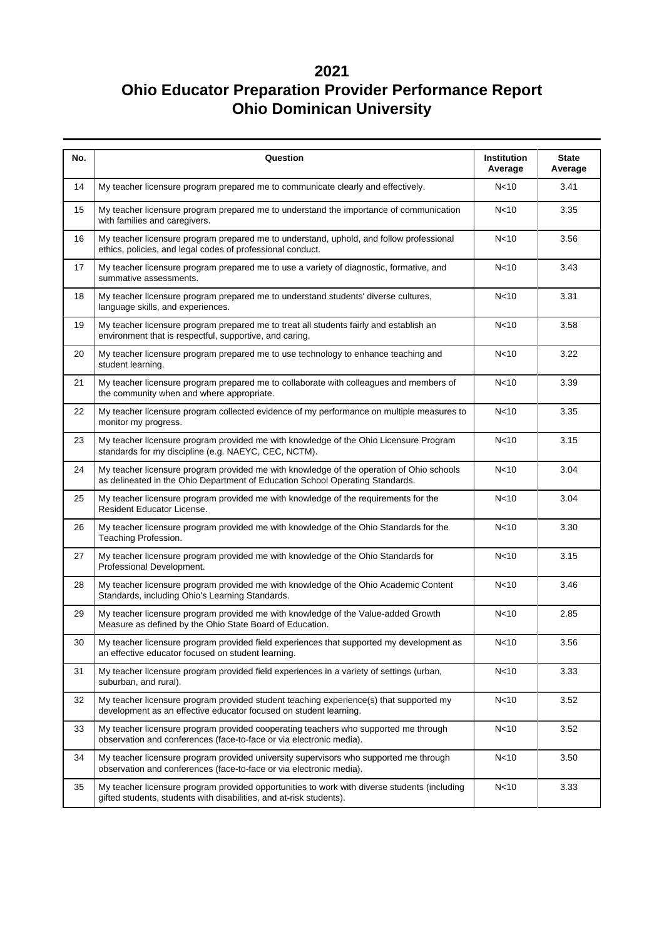| No. | Question                                                                                                                                                                               | Institution<br>Average | <b>State</b><br>Average |  |  |  |  |
|-----|----------------------------------------------------------------------------------------------------------------------------------------------------------------------------------------|------------------------|-------------------------|--|--|--|--|
| 14  | My teacher licensure program prepared me to communicate clearly and effectively.                                                                                                       | N <sub>10</sub>        | 3.41                    |  |  |  |  |
| 15  | My teacher licensure program prepared me to understand the importance of communication<br>with families and caregivers.                                                                | N <sub>10</sub>        | 3.35                    |  |  |  |  |
| 16  | My teacher licensure program prepared me to understand, uphold, and follow professional<br>ethics, policies, and legal codes of professional conduct.                                  | N <sub>10</sub>        | 3.56                    |  |  |  |  |
| 17  | My teacher licensure program prepared me to use a variety of diagnostic, formative, and<br>summative assessments.                                                                      | N<10                   | 3.43                    |  |  |  |  |
| 18  | My teacher licensure program prepared me to understand students' diverse cultures,<br>language skills, and experiences.                                                                | N <sub>10</sub>        | 3.31                    |  |  |  |  |
| 19  | My teacher licensure program prepared me to treat all students fairly and establish an<br>environment that is respectful, supportive, and caring.                                      | N <sub>10</sub>        | 3.58                    |  |  |  |  |
| 20  | My teacher licensure program prepared me to use technology to enhance teaching and<br>student learning.                                                                                | N <sub>10</sub>        | 3.22                    |  |  |  |  |
| 21  | My teacher licensure program prepared me to collaborate with colleagues and members of<br>the community when and where appropriate.                                                    | N <sub>10</sub>        | 3.39                    |  |  |  |  |
| 22  | My teacher licensure program collected evidence of my performance on multiple measures to<br>monitor my progress.                                                                      | N <sub>10</sub>        | 3.35                    |  |  |  |  |
| 23  | My teacher licensure program provided me with knowledge of the Ohio Licensure Program<br>standards for my discipline (e.g. NAEYC, CEC, NCTM).                                          | N<10                   | 3.15                    |  |  |  |  |
| 24  | My teacher licensure program provided me with knowledge of the operation of Ohio schools<br>as delineated in the Ohio Department of Education School Operating Standards.              | N <sub>10</sub>        | 3.04                    |  |  |  |  |
| 25  | My teacher licensure program provided me with knowledge of the requirements for the<br><b>Resident Educator License.</b>                                                               | N <sub>10</sub>        | 3.04                    |  |  |  |  |
| 26  | My teacher licensure program provided me with knowledge of the Ohio Standards for the<br>Teaching Profession.                                                                          | N <sub>10</sub>        | 3.30                    |  |  |  |  |
| 27  | My teacher licensure program provided me with knowledge of the Ohio Standards for<br>Professional Development.                                                                         | N <sub>10</sub>        | 3.15                    |  |  |  |  |
| 28  | My teacher licensure program provided me with knowledge of the Ohio Academic Content<br>Standards, including Ohio's Learning Standards.                                                | N <sub>10</sub>        | 3.46                    |  |  |  |  |
| 29  | My teacher licensure program provided me with knowledge of the Value-added Growth<br>Measure as defined by the Ohio State Board of Education.                                          | N <sub>10</sub>        | 2.85                    |  |  |  |  |
| 30  | My teacher licensure program provided field experiences that supported my development as<br>an effective educator focused on student learning.                                         | N <sub>10</sub>        | 3.56                    |  |  |  |  |
| 31  | My teacher licensure program provided field experiences in a variety of settings (urban,<br>suburban, and rural).                                                                      | N <sub>10</sub>        | 3.33                    |  |  |  |  |
| 32  | My teacher licensure program provided student teaching experience(s) that supported my<br>development as an effective educator focused on student learning.                            | N <sub>10</sub>        | 3.52                    |  |  |  |  |
| 33  | My teacher licensure program provided cooperating teachers who supported me through<br>observation and conferences (face-to-face or via electronic media).                             | N <sub>10</sub>        | 3.52                    |  |  |  |  |
| 34  | My teacher licensure program provided university supervisors who supported me through<br>observation and conferences (face-to-face or via electronic media).                           | N <sub>10</sub>        | 3.50                    |  |  |  |  |
| 35  | My teacher licensure program provided opportunities to work with diverse students (including<br>N <sub>10</sub><br>gifted students, students with disabilities, and at-risk students). |                        |                         |  |  |  |  |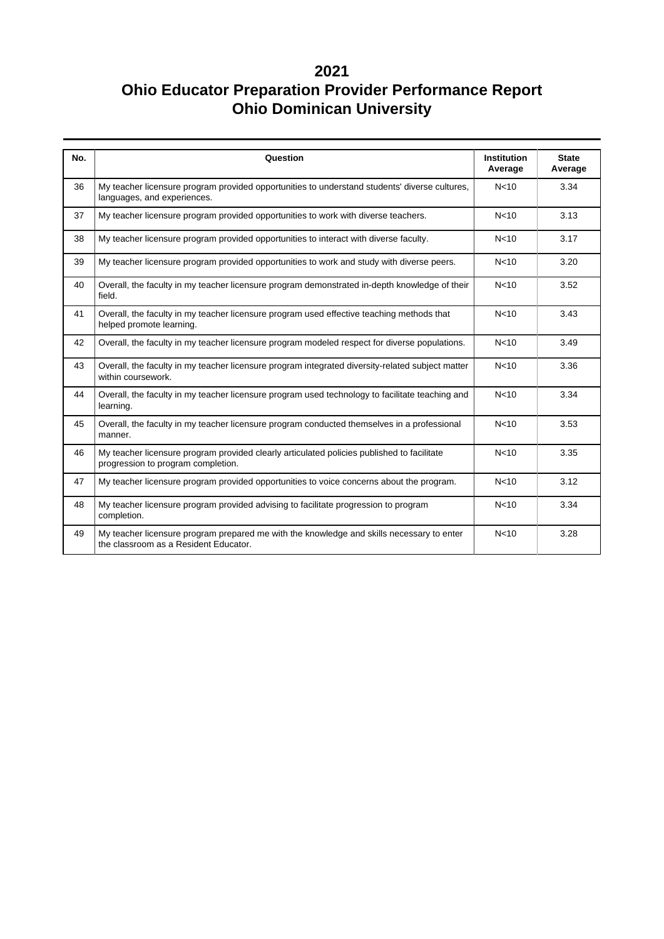| No. | Question                                                                                                                           | <b>Institution</b><br>Average | <b>State</b><br>Average |
|-----|------------------------------------------------------------------------------------------------------------------------------------|-------------------------------|-------------------------|
| 36  | My teacher licensure program provided opportunities to understand students' diverse cultures,<br>languages, and experiences.       | N <sub>10</sub>               | 3.34                    |
| 37  | My teacher licensure program provided opportunities to work with diverse teachers.                                                 | N <sub>10</sub>               | 3.13                    |
| 38  | My teacher licensure program provided opportunities to interact with diverse faculty.                                              | N <sub>10</sub>               | 3.17                    |
| 39  | My teacher licensure program provided opportunities to work and study with diverse peers.                                          | N <sub>10</sub>               | 3.20                    |
| 40  | Overall, the faculty in my teacher licensure program demonstrated in-depth knowledge of their<br>field.                            | N <sub>10</sub>               | 3.52                    |
| 41  | Overall, the faculty in my teacher licensure program used effective teaching methods that<br>helped promote learning.              | N <sub>10</sub>               | 3.43                    |
| 42  | Overall, the faculty in my teacher licensure program modeled respect for diverse populations.                                      | N <sub>10</sub>               | 3.49                    |
| 43  | Overall, the faculty in my teacher licensure program integrated diversity-related subject matter<br>within coursework.             | N <sub>10</sub>               | 3.36                    |
| 44  | Overall, the faculty in my teacher licensure program used technology to facilitate teaching and<br>learning.                       | N <sub>10</sub>               | 3.34                    |
| 45  | Overall, the faculty in my teacher licensure program conducted themselves in a professional<br>manner.                             | N <sub>10</sub>               | 3.53                    |
| 46  | My teacher licensure program provided clearly articulated policies published to facilitate<br>progression to program completion.   | N <sub>10</sub>               | 3.35                    |
| 47  | My teacher licensure program provided opportunities to voice concerns about the program.                                           | N <sub>10</sub>               | 3.12                    |
| 48  | My teacher licensure program provided advising to facilitate progression to program<br>completion.                                 | N <sub>10</sub>               | 3.34                    |
| 49  | My teacher licensure program prepared me with the knowledge and skills necessary to enter<br>the classroom as a Resident Educator. | N <sub>10</sub>               | 3.28                    |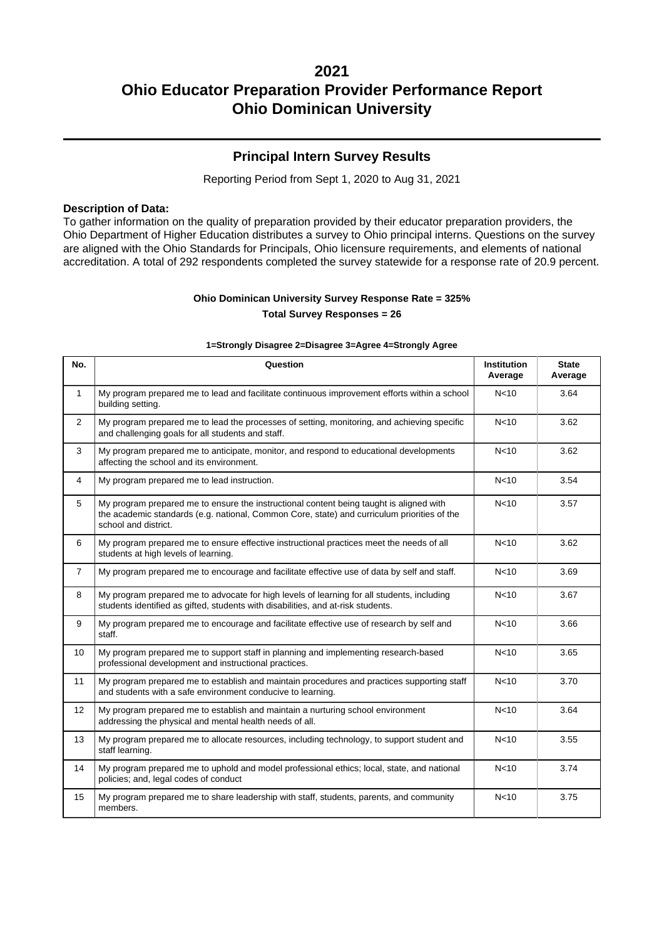### **Principal Intern Survey Results**

Reporting Period from Sept 1, 2020 to Aug 31, 2021

#### **Description of Data:**

To gather information on the quality of preparation provided by their educator preparation providers, the Ohio Department of Higher Education distributes a survey to Ohio principal interns. Questions on the survey are aligned with the Ohio Standards for Principals, Ohio licensure requirements, and elements of national accreditation. A total of 292 respondents completed the survey statewide for a response rate of 20.9 percent.

### **Ohio Dominican University Survey Response Rate = 325% Total Survey Responses = 26**

#### **1=Strongly Disagree 2=Disagree 3=Agree 4=Strongly Agree**

| No.            | Question                                                                                                                                                                                                       | <b>Institution</b><br>Average | <b>State</b><br>Average |
|----------------|----------------------------------------------------------------------------------------------------------------------------------------------------------------------------------------------------------------|-------------------------------|-------------------------|
| $\mathbf{1}$   | My program prepared me to lead and facilitate continuous improvement efforts within a school<br>building setting.                                                                                              | N <sub>10</sub>               | 3.64                    |
| $\overline{2}$ | My program prepared me to lead the processes of setting, monitoring, and achieving specific<br>and challenging goals for all students and staff.                                                               | N <sub>10</sub>               | 3.62                    |
| 3              | My program prepared me to anticipate, monitor, and respond to educational developments<br>affecting the school and its environment.                                                                            | N <sub>10</sub>               | 3.62                    |
| 4              | My program prepared me to lead instruction.                                                                                                                                                                    | N <sub>10</sub>               | 3.54                    |
| 5              | My program prepared me to ensure the instructional content being taught is aligned with<br>the academic standards (e.g. national, Common Core, state) and curriculum priorities of the<br>school and district. | N <sub>10</sub>               | 3.57                    |
| 6              | My program prepared me to ensure effective instructional practices meet the needs of all<br>students at high levels of learning.                                                                               | N <sub>10</sub>               | 3.62                    |
| $\overline{7}$ | My program prepared me to encourage and facilitate effective use of data by self and staff.                                                                                                                    | N <sub>10</sub>               | 3.69                    |
| 8              | My program prepared me to advocate for high levels of learning for all students, including<br>students identified as gifted, students with disabilities, and at-risk students.                                 | N <sub>10</sub>               | 3.67                    |
| 9              | My program prepared me to encourage and facilitate effective use of research by self and<br>staff.                                                                                                             | N <sub>10</sub>               | 3.66                    |
| 10             | My program prepared me to support staff in planning and implementing research-based<br>professional development and instructional practices.                                                                   | N <sub>10</sub>               | 3.65                    |
| 11             | My program prepared me to establish and maintain procedures and practices supporting staff<br>and students with a safe environment conducive to learning.                                                      | N <sub>10</sub>               | 3.70                    |
| 12             | My program prepared me to establish and maintain a nurturing school environment<br>addressing the physical and mental health needs of all.                                                                     | N <sub>10</sub>               | 3.64                    |
| 13             | My program prepared me to allocate resources, including technology, to support student and<br>staff learning.                                                                                                  | N <sub>10</sub>               | 3.55                    |
| 14             | My program prepared me to uphold and model professional ethics; local, state, and national<br>policies; and, legal codes of conduct                                                                            | N <sub>10</sub>               | 3.74                    |
| 15             | My program prepared me to share leadership with staff, students, parents, and community<br>members.                                                                                                            | N <sub>10</sub>               | 3.75                    |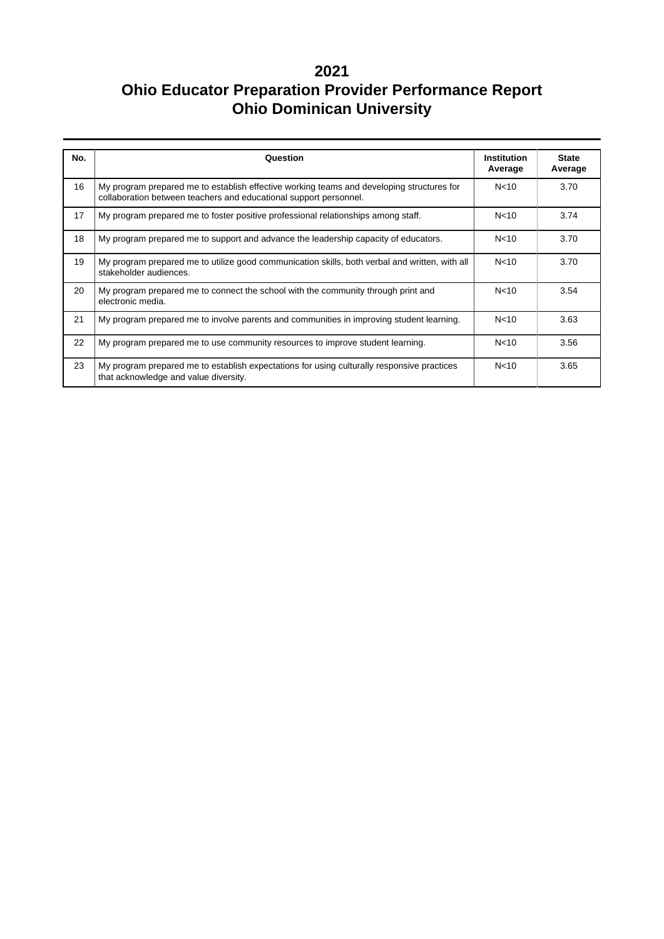| No. | Question                                                                                                                                                       | <b>Institution</b><br>Average | <b>State</b><br>Average |
|-----|----------------------------------------------------------------------------------------------------------------------------------------------------------------|-------------------------------|-------------------------|
| 16  | My program prepared me to establish effective working teams and developing structures for<br>collaboration between teachers and educational support personnel. | N <sub>10</sub>               | 3.70                    |
| 17  | My program prepared me to foster positive professional relationships among staff.                                                                              | N <sub>10</sub>               | 3.74                    |
| 18  | My program prepared me to support and advance the leadership capacity of educators.                                                                            | N <sub>10</sub>               | 3.70                    |
| 19  | My program prepared me to utilize good communication skills, both verbal and written, with all<br>stakeholder audiences.                                       | N <sub>10</sub>               | 3.70                    |
| 20  | My program prepared me to connect the school with the community through print and<br>electronic media.                                                         | N <sub>10</sub>               | 3.54                    |
| 21  | My program prepared me to involve parents and communities in improving student learning.                                                                       | N <sub>10</sub>               | 3.63                    |
| 22  | My program prepared me to use community resources to improve student learning.                                                                                 | N <sub>10</sub>               | 3.56                    |
| 23  | My program prepared me to establish expectations for using culturally responsive practices<br>that acknowledge and value diversity.                            | N <sub>10</sub>               | 3.65                    |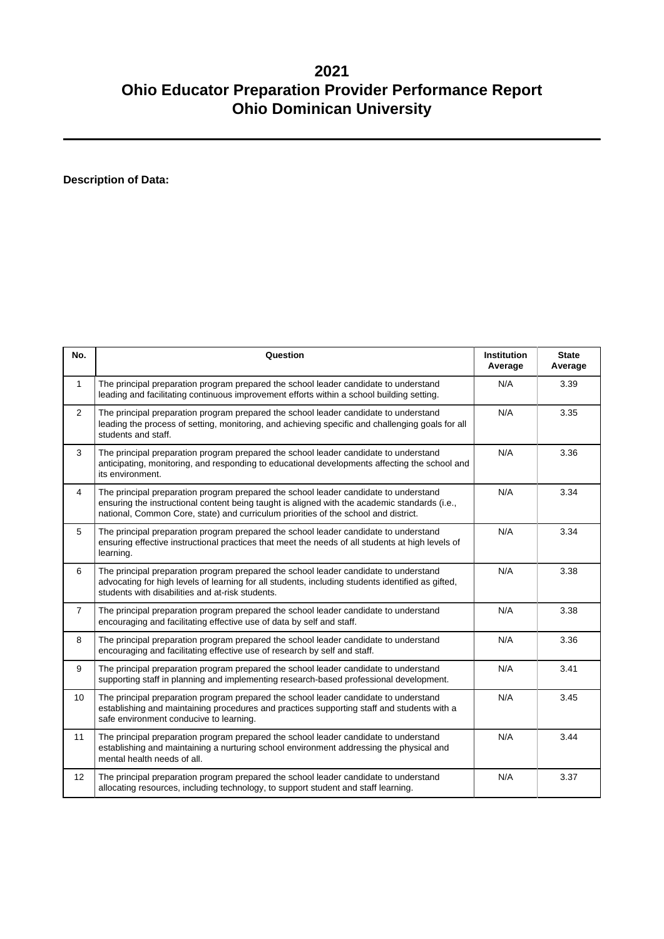**Description of Data:**

| No.             | Question                                                                                                                                                                                                                                                                     | <b>Institution</b><br>Average | <b>State</b><br>Average |
|-----------------|------------------------------------------------------------------------------------------------------------------------------------------------------------------------------------------------------------------------------------------------------------------------------|-------------------------------|-------------------------|
| $\mathbf{1}$    | The principal preparation program prepared the school leader candidate to understand<br>leading and facilitating continuous improvement efforts within a school building setting.                                                                                            | N/A                           | 3.39                    |
| $\overline{2}$  | The principal preparation program prepared the school leader candidate to understand<br>leading the process of setting, monitoring, and achieving specific and challenging goals for all<br>students and staff.                                                              | N/A                           | 3.35                    |
| 3               | The principal preparation program prepared the school leader candidate to understand<br>anticipating, monitoring, and responding to educational developments affecting the school and<br>its environment.                                                                    | N/A                           | 3.36                    |
| $\overline{4}$  | The principal preparation program prepared the school leader candidate to understand<br>ensuring the instructional content being taught is aligned with the academic standards (i.e.,<br>national, Common Core, state) and curriculum priorities of the school and district. | N/A                           | 3.34                    |
| 5               | The principal preparation program prepared the school leader candidate to understand<br>ensuring effective instructional practices that meet the needs of all students at high levels of<br>learning.                                                                        | N/A                           | 3.34                    |
| 6               | The principal preparation program prepared the school leader candidate to understand<br>advocating for high levels of learning for all students, including students identified as gifted,<br>students with disabilities and at-risk students.                                | N/A                           | 3.38                    |
| $\overline{7}$  | The principal preparation program prepared the school leader candidate to understand<br>encouraging and facilitating effective use of data by self and staff.                                                                                                                | N/A                           | 3.38                    |
| 8               | The principal preparation program prepared the school leader candidate to understand<br>encouraging and facilitating effective use of research by self and staff.                                                                                                            | N/A                           | 3.36                    |
| 9               | The principal preparation program prepared the school leader candidate to understand<br>supporting staff in planning and implementing research-based professional development.                                                                                               | N/A                           | 3.41                    |
| 10 <sup>1</sup> | The principal preparation program prepared the school leader candidate to understand<br>establishing and maintaining procedures and practices supporting staff and students with a<br>safe environment conducive to learning.                                                | N/A                           | 3.45                    |
| 11              | The principal preparation program prepared the school leader candidate to understand<br>establishing and maintaining a nurturing school environment addressing the physical and<br>mental health needs of all.                                                               | N/A                           | 3.44                    |
| 12              | The principal preparation program prepared the school leader candidate to understand<br>allocating resources, including technology, to support student and staff learning.                                                                                                   | N/A                           | 3.37                    |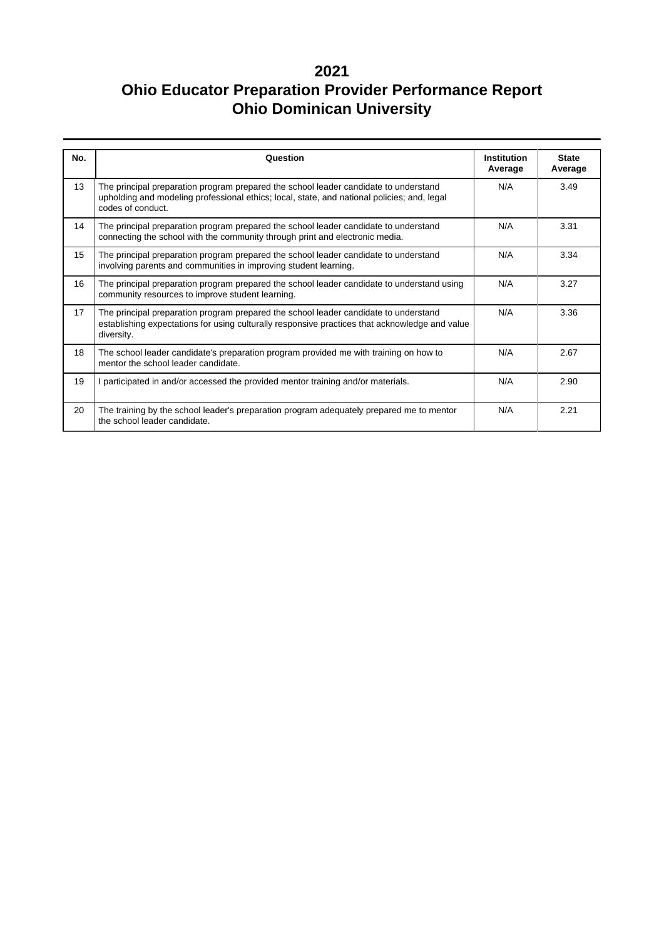| No. | Question                                                                                                                                                                                                 | <b>Institution</b><br>Average | <b>State</b><br>Average |
|-----|----------------------------------------------------------------------------------------------------------------------------------------------------------------------------------------------------------|-------------------------------|-------------------------|
| 13  | The principal preparation program prepared the school leader candidate to understand<br>upholding and modeling professional ethics; local, state, and national policies; and, legal<br>codes of conduct. | N/A                           | 3.49                    |
| 14  | The principal preparation program prepared the school leader candidate to understand<br>connecting the school with the community through print and electronic media.                                     | N/A                           | 3.31                    |
| 15  | The principal preparation program prepared the school leader candidate to understand<br>involving parents and communities in improving student learning.                                                 | N/A                           | 3.34                    |
| 16  | The principal preparation program prepared the school leader candidate to understand using<br>community resources to improve student learning.                                                           | N/A                           | 3.27                    |
| 17  | The principal preparation program prepared the school leader candidate to understand<br>establishing expectations for using culturally responsive practices that acknowledge and value<br>diversity.     | N/A                           | 3.36                    |
| 18  | The school leader candidate's preparation program provided me with training on how to<br>mentor the school leader candidate.                                                                             | N/A                           | 2.67                    |
| 19  | I participated in and/or accessed the provided mentor training and/or materials.                                                                                                                         | N/A                           | 2.90                    |
| 20  | The training by the school leader's preparation program adequately prepared me to mentor<br>the school leader candidate.                                                                                 | N/A                           | 2.21                    |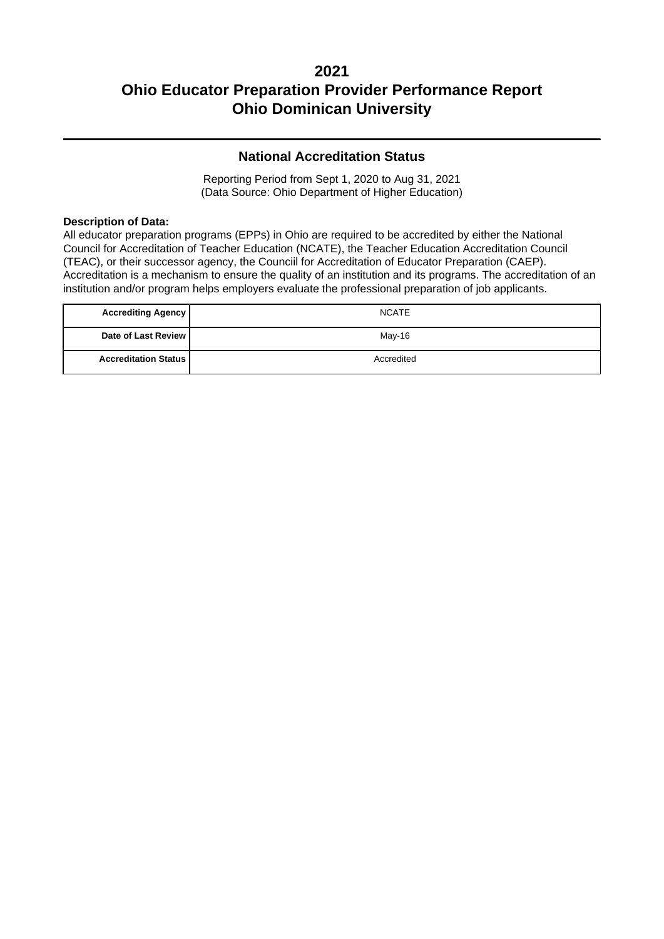### **National Accreditation Status**

Reporting Period from Sept 1, 2020 to Aug 31, 2021 (Data Source: Ohio Department of Higher Education)

#### **Description of Data:**

All educator preparation programs (EPPs) in Ohio are required to be accredited by either the National Council for Accreditation of Teacher Education (NCATE), the Teacher Education Accreditation Council (TEAC), or their successor agency, the Counciil for Accreditation of Educator Preparation (CAEP). Accreditation is a mechanism to ensure the quality of an institution and its programs. The accreditation of an institution and/or program helps employers evaluate the professional preparation of job applicants.

| <b>Accrediting Agency</b>     | <b>NCATE</b> |
|-------------------------------|--------------|
| Date of Last Review I         | May-16       |
| <b>Accreditation Status  </b> | Accredited   |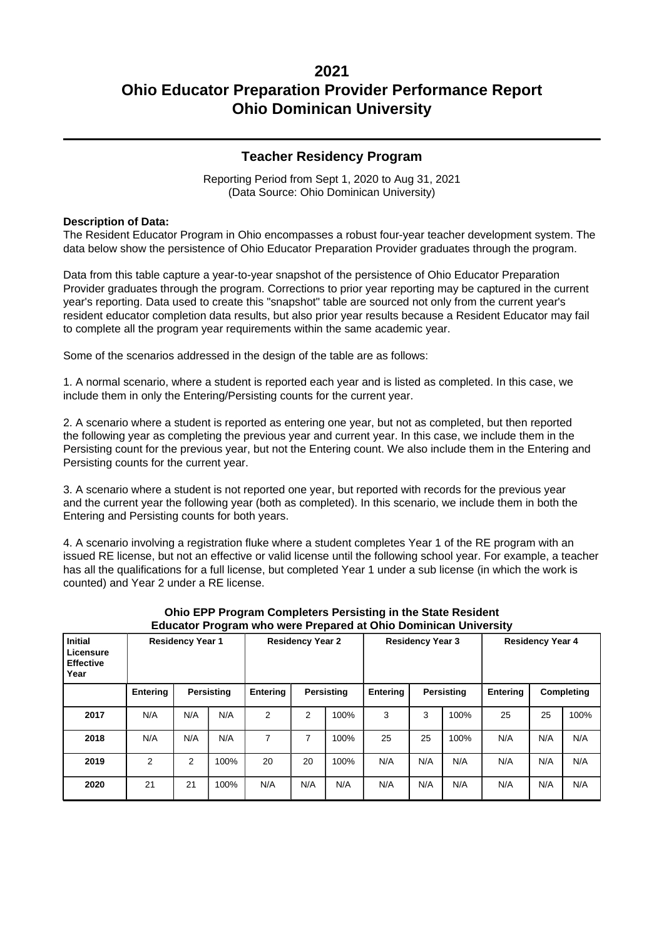### **Teacher Residency Program**

Reporting Period from Sept 1, 2020 to Aug 31, 2021 (Data Source: Ohio Dominican University)

#### **Description of Data:**

The Resident Educator Program in Ohio encompasses a robust four-year teacher development system. The data below show the persistence of Ohio Educator Preparation Provider graduates through the program.

Data from this table capture a year-to-year snapshot of the persistence of Ohio Educator Preparation Provider graduates through the program. Corrections to prior year reporting may be captured in the current year's reporting. Data used to create this "snapshot" table are sourced not only from the current year's resident educator completion data results, but also prior year results because a Resident Educator may fail to complete all the program year requirements within the same academic year.

Some of the scenarios addressed in the design of the table are as follows:

1. A normal scenario, where a student is reported each year and is listed as completed. In this case, we include them in only the Entering/Persisting counts for the current year.

2. A scenario where a student is reported as entering one year, but not as completed, but then reported the following year as completing the previous year and current year. In this case, we include them in the Persisting count for the previous year, but not the Entering count. We also include them in the Entering and Persisting counts for the current year.

3. A scenario where a student is not reported one year, but reported with records for the previous year and the current year the following year (both as completed). In this scenario, we include them in both the Entering and Persisting counts for both years.

4. A scenario involving a registration fluke where a student completes Year 1 of the RE program with an issued RE license, but not an effective or valid license until the following school year. For example, a teacher has all the qualifications for a full license, but completed Year 1 under a sub license (in which the work is counted) and Year 2 under a RE license.

| <b>Initial</b><br>Licensure<br><b>Effective</b><br>Year | <b>Residency Year 1</b> |     |            | <b>Residency Year 2</b> |            | <b>Residency Year 3</b> |          | <b>Residency Year 4</b> |      |                 |            |      |
|---------------------------------------------------------|-------------------------|-----|------------|-------------------------|------------|-------------------------|----------|-------------------------|------|-----------------|------------|------|
|                                                         | Entering                |     | Persisting | <b>Entering</b>         | Persisting |                         | Entering | Persisting              |      | <b>Entering</b> | Completing |      |
| 2017                                                    | N/A                     | N/A | N/A        | 2                       | 2          | 100%                    | 3        | 3                       | 100% | 25              | 25         | 100% |
| 2018                                                    | N/A                     | N/A | N/A        | 7                       | 7          | 100%                    | 25       | 25                      | 100% | N/A             | N/A        | N/A  |
| 2019                                                    | $\overline{2}$          | 2   | 100%       | 20                      | 20         | 100%                    | N/A      | N/A                     | N/A  | N/A             | N/A        | N/A  |
| 2020                                                    | 21                      | 21  | 100%       | N/A                     | N/A        | N/A                     | N/A      | N/A                     | N/A  | N/A             | N/A        | N/A  |

#### **Ohio EPP Program Completers Persisting in the State Resident Educator Program who were Prepared at Ohio Dominican University**